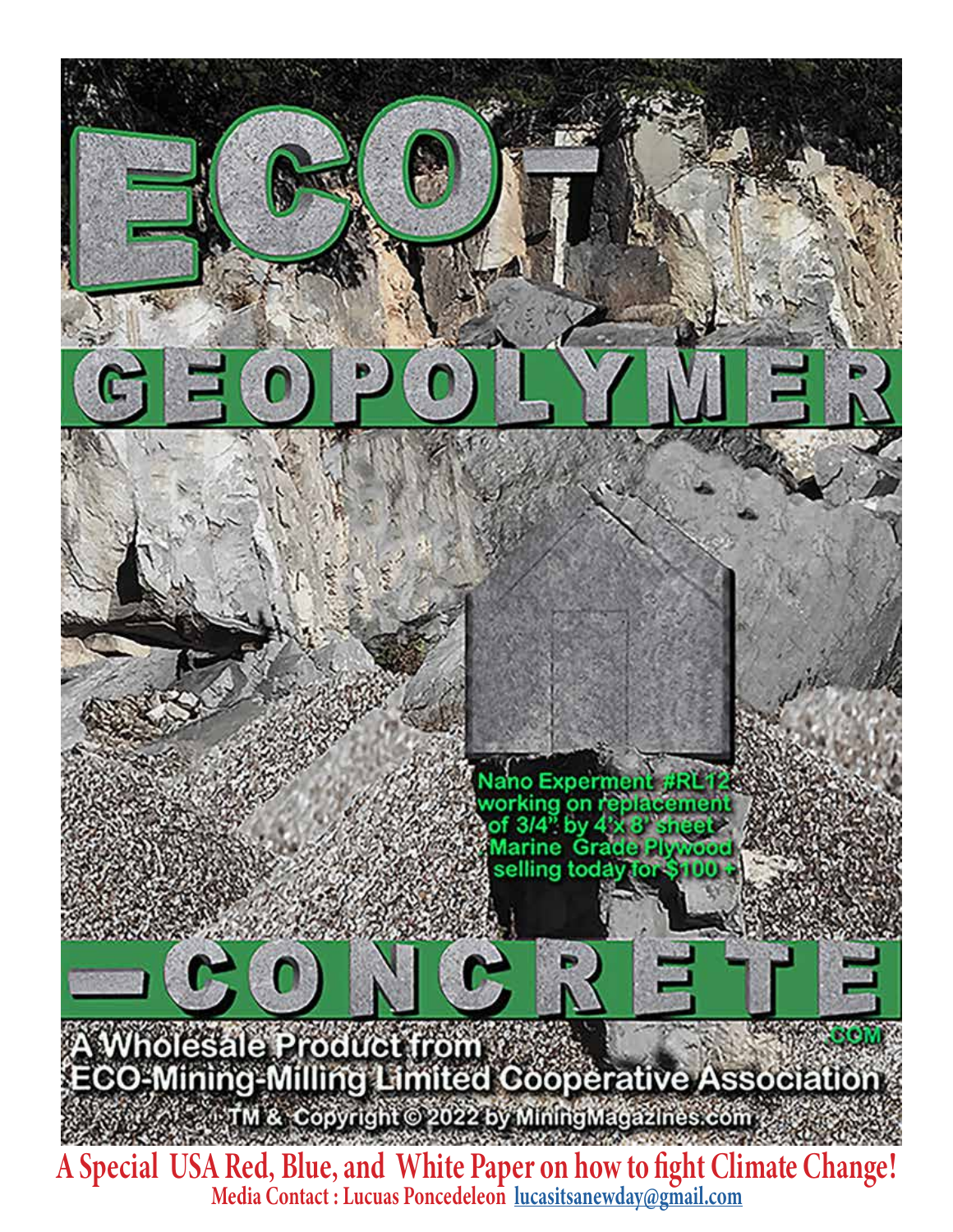

Media Contact : Lucuas Poncedeleon [lucasitsanewday@gmail.com](mailto:lucasitsanewday@gmail.com)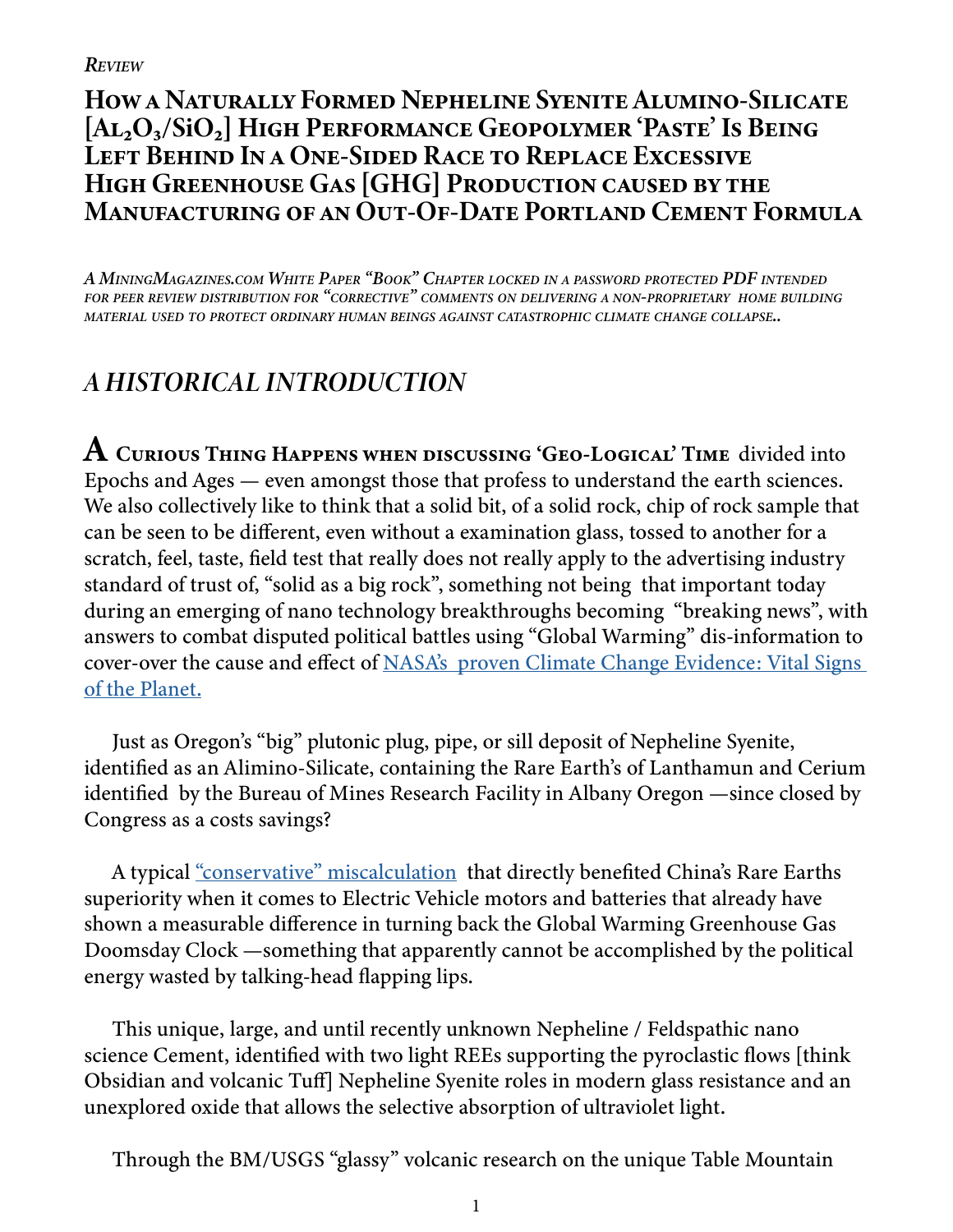# How a Naturally Formed Nepheline Syenite Alumino-Silicate [Al<sub>2</sub>O<sub>3</sub>/SiO<sub>2</sub>] High Performance Geopolymer 'Paste' Is Being Left Behind In a One-Sided Race to Replace Excessive HIGH GREENHOUSE GAS [GHG] PRODUCTION CAUSED BY THE Manufacturing of an Out-Of-Date Portland Cement Formula

*A MiningMagazines.com White Paper "Book" Chapter locked in a password protected PDF intended for peer review distribution for "corrective" comments on delivering a non-proprietary home building material used to protect ordinary human beings against catastrophic climate change collapse..*

# *A HISTORICAL INTRODUCTION*

 ${\bf A}$  Curious Thing Happens when discussing 'Geo-Logical' Time divided into Epochs and Ages — even amongst those that profess to understand the earth sciences. We also collectively like to think that a solid bit, of a solid rock, chip of rock sample that can be seen to be different, even without a examination glass, tossed to another for a scratch, feel, taste, field test that really does not really apply to the advertising industry standard of trust of, "solid as a big rock", something not being that important today during an emerging of nano technology breakthroughs becoming "breaking news", with answers to combat disputed political battles using "Global Warming" dis-information to cover-over the cause and effect of [NASA's proven Climate Change Evidence: Vital Signs](https://climate.nasa.gov/evidence)  [of the Planet.](https://climate.nasa.gov/evidence)

Just as Oregon's "big" plutonic plug, pipe, or sill deposit of Nepheline Syenite, identified as an Alimino-Silicate, containing the Rare Earth's of Lanthamun and Cerium identified by the Bureau of Mines Research Facility in Albany Oregon —since closed by Congress as a costs savings?

A typical ["conservative" miscalculation](https://miningmagazines.com/industrialminerals.org/) that directly benefited China's Rare Earths superiority when it comes to Electric Vehicle motors and batteries that already have shown a measurable difference in turning back the Global Warming Greenhouse Gas Doomsday Clock —something that apparently cannot be accomplished by the political energy wasted by talking-head flapping lips.

This unique, large, and until recently unknown Nepheline / Feldspathic nano science Cement, identified with two light REEs supporting the pyroclastic flows [think Obsidian and volcanic Tuff] Nepheline Syenite roles in modern glass resistance and an unexplored oxide that allows the selective absorption of ultraviolet light.

Through the BM/USGS "glassy" volcanic research on the unique Table Mountain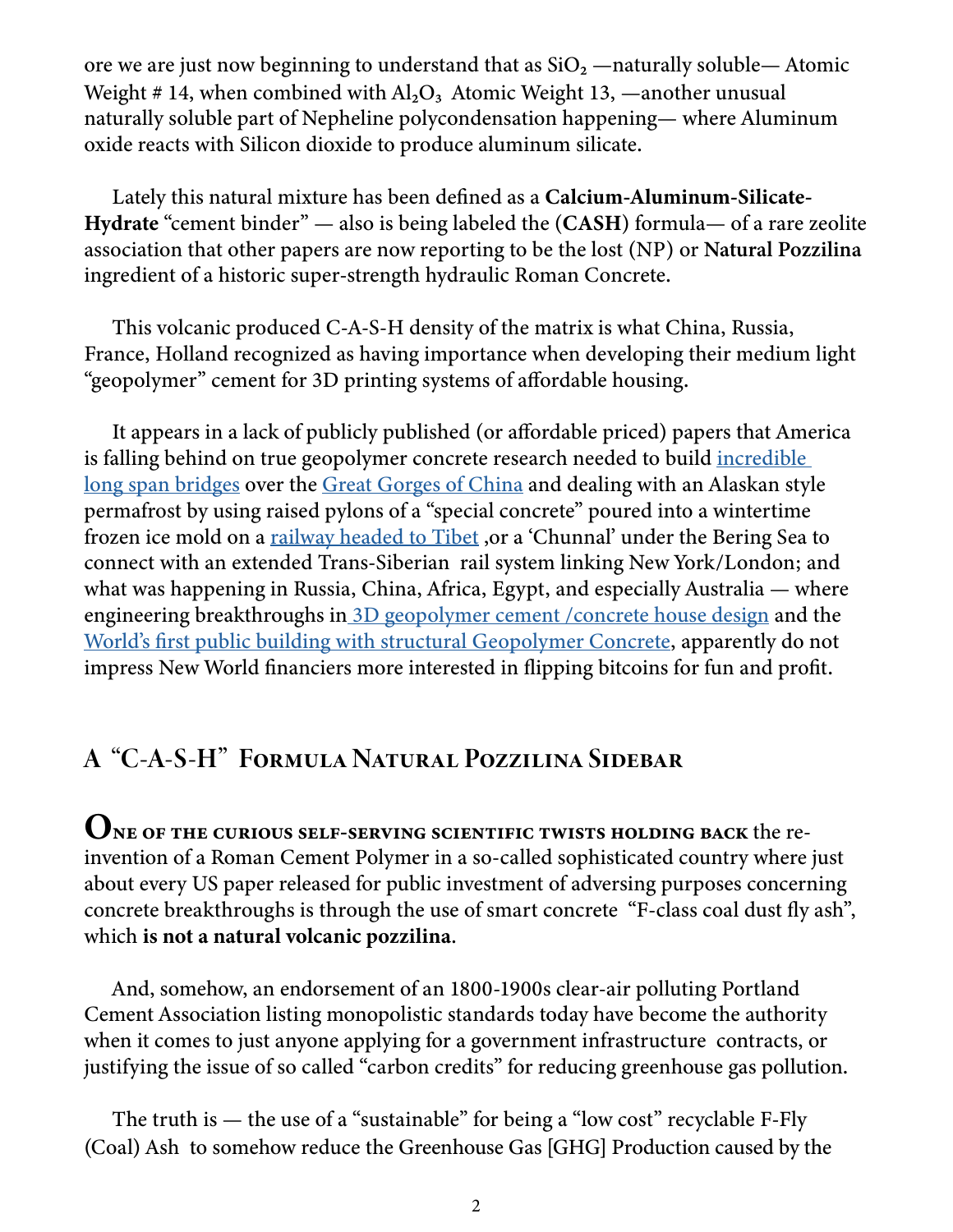ore we are just now beginning to understand that as  $SiO<sub>2</sub>$  —naturally soluble— Atomic Weight # 14, when combined with  $Al_2O_3$  Atomic Weight 13, —another unusual naturally soluble part of Nepheline polycondensation happening— where Aluminum oxide reacts with Silicon dioxide to produce aluminum silicate.

Lately this natural mixture has been defined as a Calcium-Aluminum-Silicate-Hydrate "cement binder" — also is being labeled the (CASH) formula— of a rare zeolite association that other papers are now reporting to be the lost (NP) or Natural Pozzilina ingredient of a historic super-strength hydraulic Roman Concrete.

This volcanic produced C-A-S-H density of the matrix is what China, Russia, France, Holland recognized as having importance when developing their medium light "geopolymer" cement for 3D printing systems of affordable housing.

It appears in a lack of publicly published (or affordable priced) papers that America is falling behind on true geopolymer concrete research needed to build incredible [long span bridges](http://www.highestbridges.com/pdf/ConcreteSteelTubeArchChina.pdf) over the [Great Gorges of China](http://highestbridges.com) and dealing with an Alaskan style permafrost by using raised pylons of a "special concrete" poured into a wintertime frozen ice mold on a railway headed to Tibet, or a 'Chunnal' under the Bering Sea to connect with an extended Trans-Siberian rail system linking New York/London; and what was happening in Russia, China, Africa, Egypt, and especially Australia — where engineering breakthroughs i[n 3D geopolymer cement /concrete house design](https://printedbuilds.com) and the [World's first public building with structural Geopolymer Concrete](https://www.geopolymer.org/news/worlds-first-public-building-with-structural-geopolymer-concrete/), apparently do not impress New World financiers more interested in flipping bitcoins for fun and profit.

# A "C-A-S-H" Formula Natural Pozzilina Sidebar

ONE OF THE CURIOUS SELF-SERVING SCIENTIFIC TWISTS HOLDING BACK the reinvention of a Roman Cement Polymer in a so-called sophisticated country where just about every US paper released for public investment of adversing purposes concerning concrete breakthroughs is through the use of smart concrete "F-class coal dust fly ash", which is not a natural volcanic pozzilina.

And, somehow, an endorsement of an 1800-1900s clear-air polluting Portland Cement Association listing monopolistic standards today have become the authority when it comes to just anyone applying for a government infrastructure contracts, or justifying the issue of so called "carbon credits" for reducing greenhouse gas pollution.

The truth is — the use of a "sustainable" for being a "low cost" recyclable F-Fly (Coal) Ash to somehow reduce the Greenhouse Gas [GHG] Production caused by the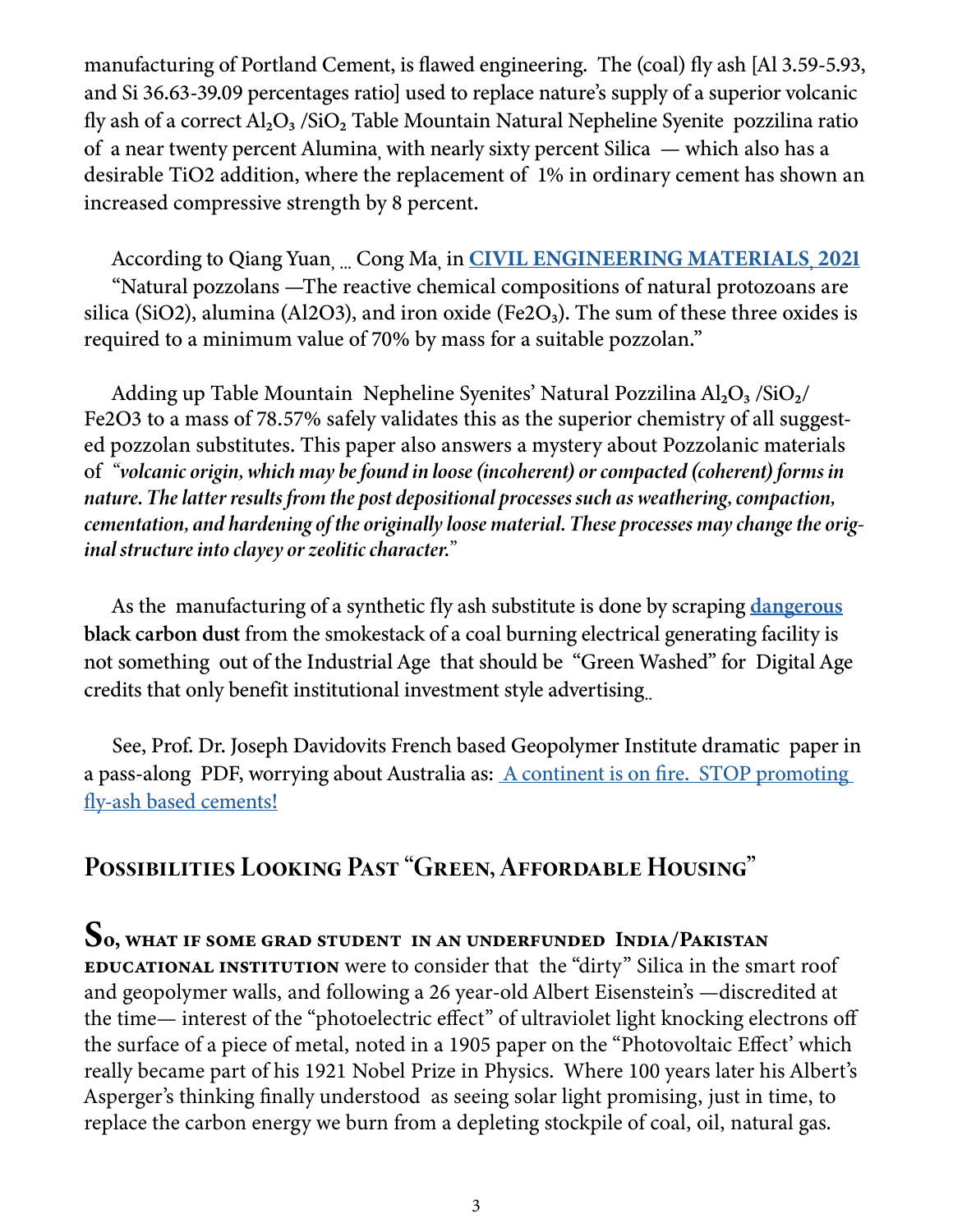manufacturing of Portland Cement, is flawed engineering. The (coal) fly ash [Al 3.59-5.93, and Si 36.63-39.09 percentages ratio] used to replace nature's supply of a superior volcanic fly ash of a correct  $Al_2O_3$  /SiO<sub>2</sub> Table Mountain Natural Nepheline Syenite pozzilina ratio of a near twenty percent Alumina, with nearly sixty percent Silica — which also has a desirable TiO2 addition, where the replacement of 1% in ordinary cement has shown an increased compressive strength by 8 percent.

According to Qiang Yuan, ... Cong Ma, in **CIVIL ENGINEERING MATERIALS**, 2021 "Natural pozzolans —The reactive chemical compositions of natural protozoans are silica (SiO2), alumina (Al2O3), and iron oxide (Fe2O<sub>3</sub>). The sum of these three oxides is required to a minimum value of 70% by mass for a suitable pozzolan."

Adding up Table Mountain Nepheline Syenites' Natural Pozzilina  $Al_2O_3/SiO_2/$ Fe2O3 to a mass of 78.57% safely validates this as the superior chemistry of all suggested pozzolan substitutes. This paper also answers a mystery about Pozzolanic materials of *"volcanic origin, which may be found in loose (incoherent) or compacted (coherent) forms in nature. The latter results from the post depositional processes such as weathering, compaction, cementation, and hardening of the originally loose material. These processes may change the original structure into clayey or zeolitic character."*

As the manufacturing of a synthetic fly ash substitute is done by scraping [dangerous](https://eco-gogreen-magazine.com/CoalAshRadioactive.pdf) black carbon dust from the smokestack of a coal burning electrical generating facility is not something out of the Industrial Age that should be "Green Washed" for Digital Age credits that only benefit institutional investment style advertising..

See, Prof. Dr. Joseph Davidovits French based Geopolymer Institute dramatic paper in a pass-along PDF, worrying about Australia as: [A continent is on fire. STOP promoting](https://eco-gogreen-magazine.com/GeopolymerInstituteOnCoalFlyAsh.pdf)  [fly-ash based cements!](https://eco-gogreen-magazine.com/GeopolymerInstituteOnCoalFlyAsh.pdf)

# Possibilities Looking Past "Green, Affordable Housing"

#### So, what if some grad student in an underfunded India/Pakistan

educational institution were to consider that the "dirty" Silica in the smart roof and geopolymer walls, and following a 26 year-old Albert Eisenstein's —discredited at the time— interest of the "photoelectric effect" of ultraviolet light knocking electrons off the surface of a piece of metal, noted in a 1905 paper on the "Photovoltaic Effect' which really became part of his 1921 Nobel Prize in Physics. Where 100 years later his Albert's Asperger's thinking finally understood as seeing solar light promising, just in time, to replace the carbon energy we burn from a depleting stockpile of coal, oil, natural gas.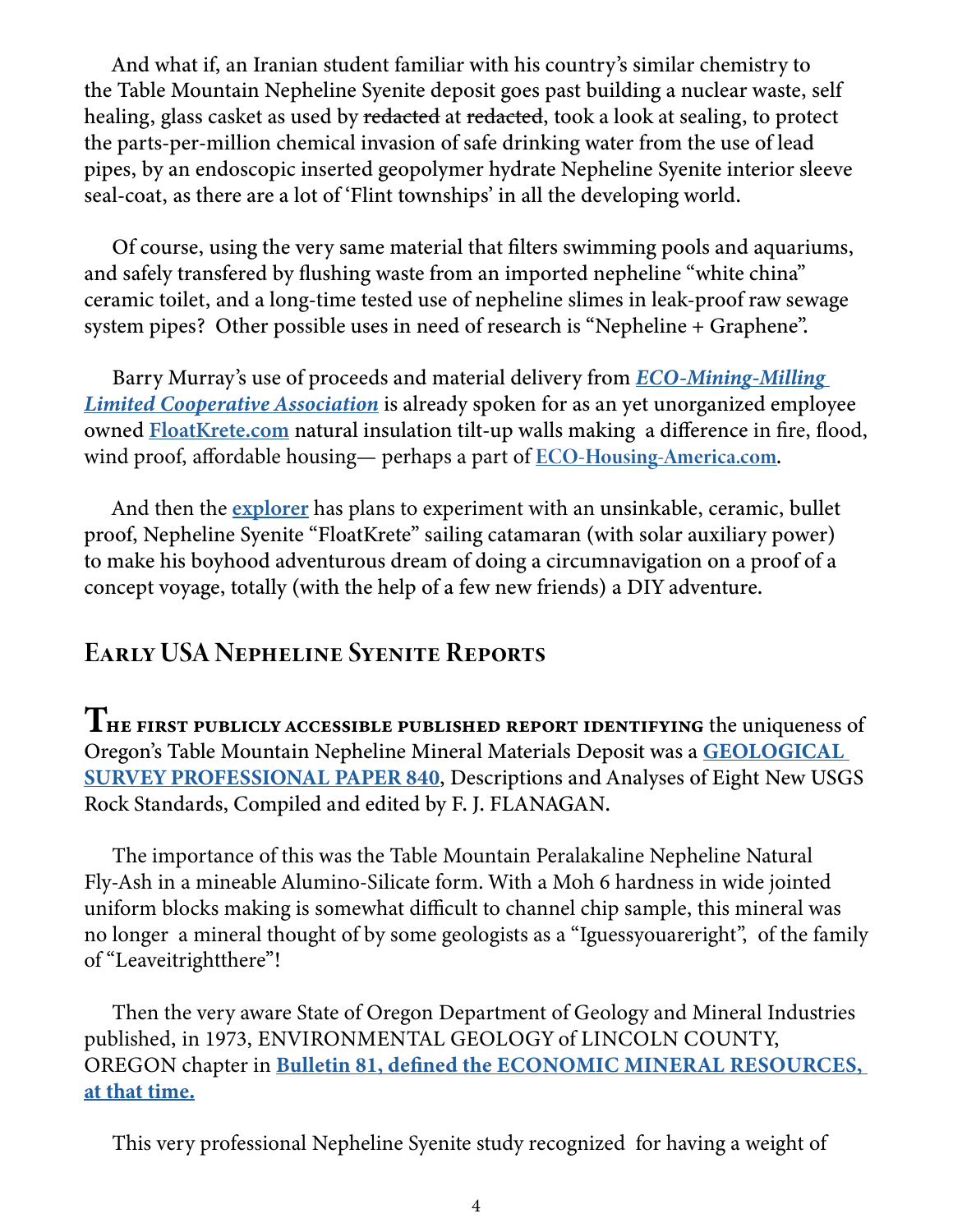And what if, an Iranian student familiar with his country's similar chemistry to the Table Mountain Nepheline Syenite deposit goes past building a nuclear waste, self healing, glass casket as used by redacted at redacted, took a look at sealing, to protect the parts-per-million chemical invasion of safe drinking water from the use of lead pipes, by an endoscopic inserted geopolymer hydrate Nepheline Syenite interior sleeve seal-coat, as there are a lot of 'Flint townships' in all the developing world.

Of course, using the very same material that filters swimming pools and aquariums, and safely transfered by flushing waste from an imported nepheline "white china" ceramic toilet, and a long-time tested use of nepheline slimes in leak-proof raw sewage system pipes? Other possible uses in need of research is "Nepheline + Graphene".

Barry Murray's use of proceeds and material delivery from *[ECO-Mining-Milling](https://eco-mining-milling.com)  [Limited Cooperative Association](https://eco-mining-milling.com)* is already spoken for as an yet unorganized employee owned [FloatKrete.com](https://foamkrete.com) natural insulation tilt-up walls making a difference in fire, flood, wind proof, affordable housing— perhaps a part of <u>ECO-Housing-America.com</u>.

And then the [explorer](https://bannerbooks.com/bannersearchsamplechapters.pdf) has plans to experiment with an unsinkable, ceramic, bullet proof, Nepheline Syenite "FloatKrete" sailing catamaran (with solar auxiliary power) to make his boyhood adventurous dream of doing a circumnavigation on a proof of a concept voyage, totally (with the help of a few new friends) a DIY adventure.

# Early USA Nepheline Syenite Reports

THE FIRST PUBLICLY ACCESSIBLE PUBLISHED REPORT IDENTIFYING the uniqueness of Oregon's Table Mountain Nepheline Mineral Materials Deposit was a [GEOLOGICAL](https://eco-gogreen-magazine.com/USGS840.pdf)  [SURVEY PROFESSIONAL PAPER 840,](https://eco-gogreen-magazine.com/USGS840.pdf) Descriptions and Analyses of Eight New USGS Rock Standards, Compiled and edited by F. J. FLANAGAN.

The importance of this was the Table Mountain Peralakaline Nepheline Natural Fly-Ash in a mineable Alumino-Silicate form. With a Moh 6 hardness in wide jointed uniform blocks making is somewhat difficult to channel chip sample, this mineral was no longer a mineral thought of by some geologists as a "Iguessyouareright", of the family of "Leaveitrightthere"!

Then the very aware State of Oregon Department of Geology and Mineral Industries published, in 1973, ENVIRONMENTAL GEOLOGY of LINCOLN COUNTY, OREGON chapter in [Bulletin 81, defined the ECONOMIC MINERAL RESOURCES,](https://eco-gogreen-magazine.com/00PDF2OR.pdf)  [at that time.](https://eco-gogreen-magazine.com/00PDF2OR.pdf)

This very professional Nepheline Syenite study recognized for having a weight of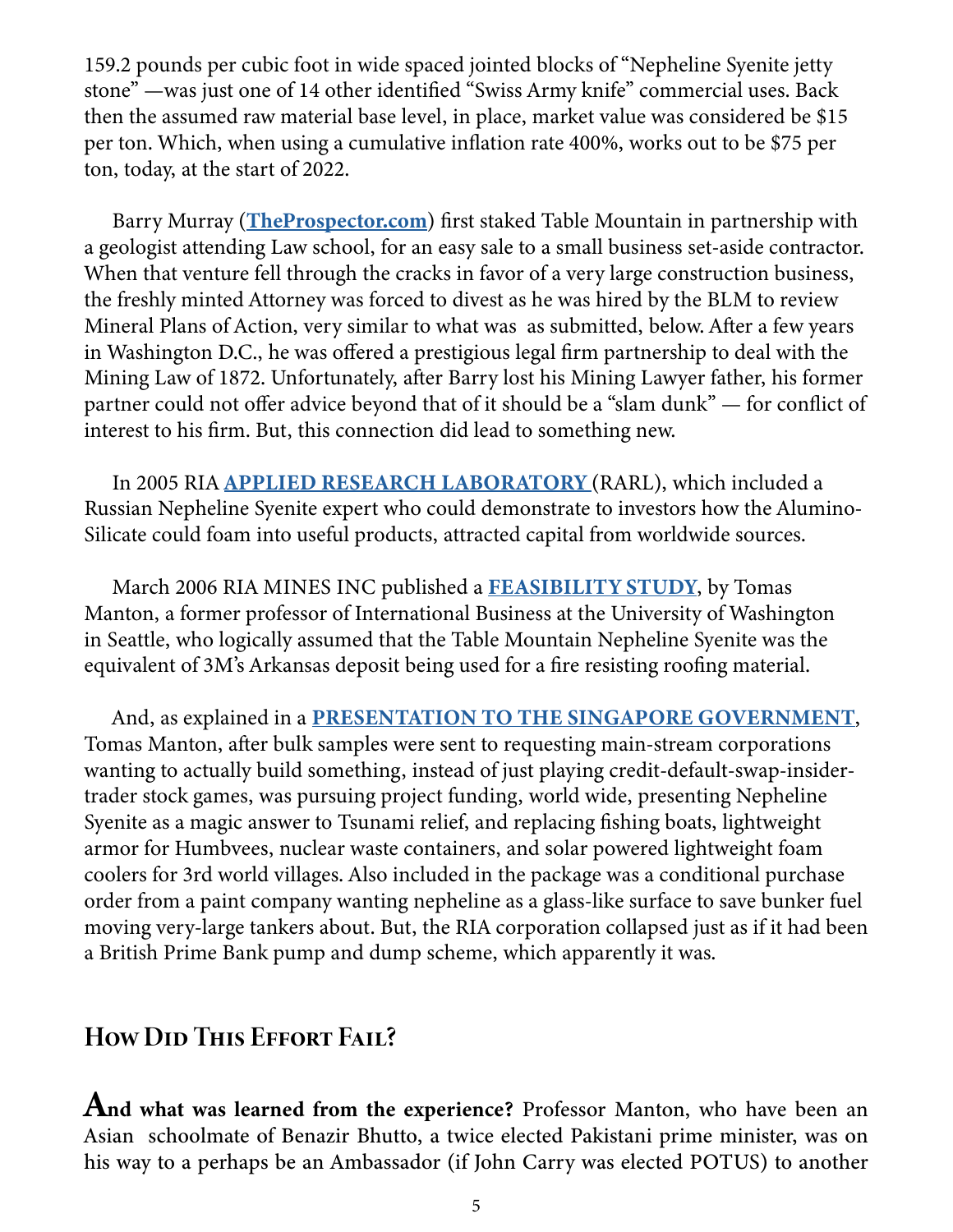159.2 pounds per cubic foot in wide spaced jointed blocks of "Nepheline Syenite jetty stone" —was just one of 14 other identified "Swiss Army knife" commercial uses. Back then the assumed raw material base level, in place, market value was considered be \$15 per ton. Which, when using a cumulative inflation rate 400%, works out to be \$75 per ton, today, at the start of 2022.

Barry Murray (**TheProspector.com**) first staked Table Mountain in partnership with a geologist attending Law school, for an easy sale to a small business set-aside contractor. When that venture fell through the cracks in favor of a very large construction business, the freshly minted Attorney was forced to divest as he was hired by the BLM to review Mineral Plans of Action, very similar to what was as submitted, below. After a few years in Washington D.C., he was offered a prestigious legal firm partnership to deal with the Mining Law of 1872. Unfortunately, after Barry lost his Mining Lawyer father, his former partner could not offer advice beyond that of it should be a "slam dunk" — for conflict of interest to his firm. But, this connection did lead to something new.

In 2005 RIA **APPLIED RESEARCH LABORATORY** (RARL), which included a Russian Nepheline Syenite expert who could demonstrate to investors how the Alumino-Silicate could foam into useful products, attracted capital from worldwide sources.

March 2006 RIA MINES INC published a [FEASIBILITY STUDY,](https://eco-gogreen-magazine.com/RIAfeasabulity.pdf) by Tomas Manton, a former professor of International Business at the University of Washington in Seattle, who logically assumed that the Table Mountain Nepheline Syenite was the equivalent of 3M's Arkansas deposit being used for a fire resisting roofing material.

And, as explained in a [PRESENTATION TO THE SINGAPORE GOVERNMENT,](https://eco-gogreen-magazine.com/PRESENTATION TO THE SINGAPORE GOVERNMENT.pdf) Tomas Manton, after bulk samples were sent to requesting main-stream corporations wanting to actually build something, instead of just playing credit-default-swap-insidertrader stock games, was pursuing project funding, world wide, presenting Nepheline Syenite as a magic answer to Tsunami relief, and replacing fishing boats, lightweight armor for Humbvees, nuclear waste containers, and solar powered lightweight foam coolers for 3rd world villages. Also included in the package was a conditional purchase order from a paint company wanting nepheline as a glass-like surface to save bunker fuel moving very-large tankers about. But, the RIA corporation collapsed just as if it had been a British Prime Bank pump and dump scheme, which apparently it was.

# How Did This Effort Fail?

And what was learned from the experience? Professor Manton, who have been an Asian schoolmate of Benazir Bhutto, a twice elected Pakistani prime minister, was on his way to a perhaps be an Ambassador (if John Carry was elected POTUS) to another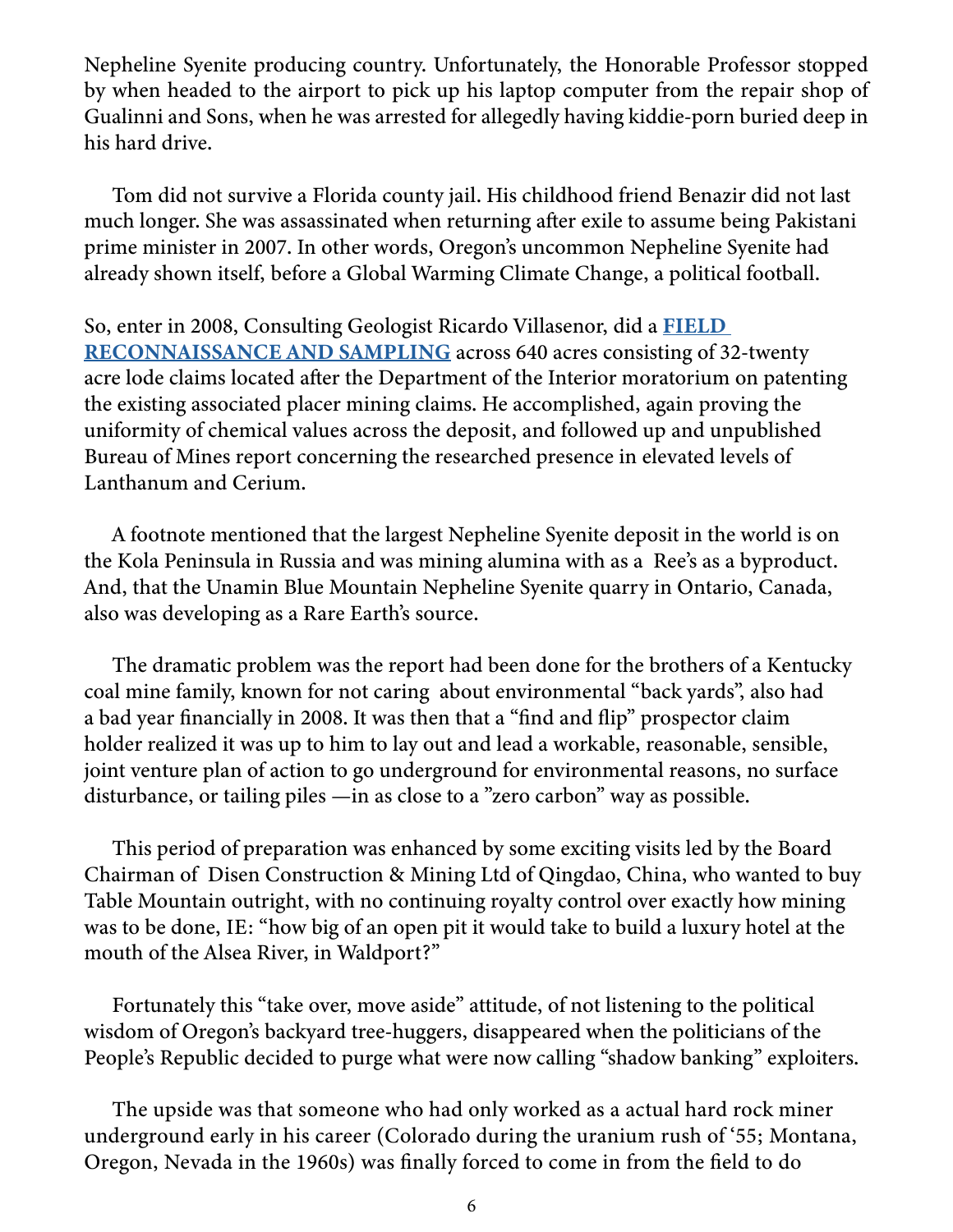Nepheline Syenite producing country. Unfortunately, the Honorable Professor stopped by when headed to the airport to pick up his laptop computer from the repair shop of Gualinni and Sons, when he was arrested for allegedly having kiddie-porn buried deep in his hard drive.

Tom did not survive a Florida county jail. His childhood friend Benazir did not last much longer. She was assassinated when returning after exile to assume being Pakistani prime minister in 2007. In other words, Oregon's uncommon Nepheline Syenite had already shown itself, before a Global Warming Climate Change, a political football.

So, enter in 2008, Consulting Geologist Ricardo Villasenor, did a [FIELD](https://eco-gogreen-magazine.com/NephelineGeologicReport.pdf)  [RECONNAISSANCE AND SAMPLING](https://eco-gogreen-magazine.com/NephelineGeologicReport.pdf) across 640 acres consisting of 32-twenty acre lode claims located after the Department of the Interior moratorium on patenting the existing associated placer mining claims. He accomplished, again proving the uniformity of chemical values across the deposit, and followed up and unpublished Bureau of Mines report concerning the researched presence in elevated levels of Lanthanum and Cerium.

A footnote mentioned that the largest Nepheline Syenite deposit in the world is on the Kola Peninsula in Russia and was mining alumina with as a Ree's as a byproduct. And, that the Unamin Blue Mountain Nepheline Syenite quarry in Ontario, Canada, also was developing as a Rare Earth's source.

The dramatic problem was the report had been done for the brothers of a Kentucky coal mine family, known for not caring about environmental "back yards", also had a bad year financially in 2008. It was then that a "find and flip" prospector claim holder realized it was up to him to lay out and lead a workable, reasonable, sensible, joint venture plan of action to go underground for environmental reasons, no surface disturbance, or tailing piles —in as close to a "zero carbon" way as possible.

This period of preparation was enhanced by some exciting visits led by the Board Chairman of Disen Construction & Mining Ltd of Qingdao, China, who wanted to buy Table Mountain outright, with no continuing royalty control over exactly how mining was to be done, IE: "how big of an open pit it would take to build a luxury hotel at the mouth of the Alsea River, in Waldport?"

Fortunately this "take over, move aside" attitude, of not listening to the political wisdom of Oregon's backyard tree-huggers, disappeared when the politicians of the People's Republic decided to purge what were now calling "shadow banking" exploiters.

The upside was that someone who had only worked as a actual hard rock miner underground early in his career (Colorado during the uranium rush of '55; Montana, Oregon, Nevada in the 1960s) was finally forced to come in from the field to do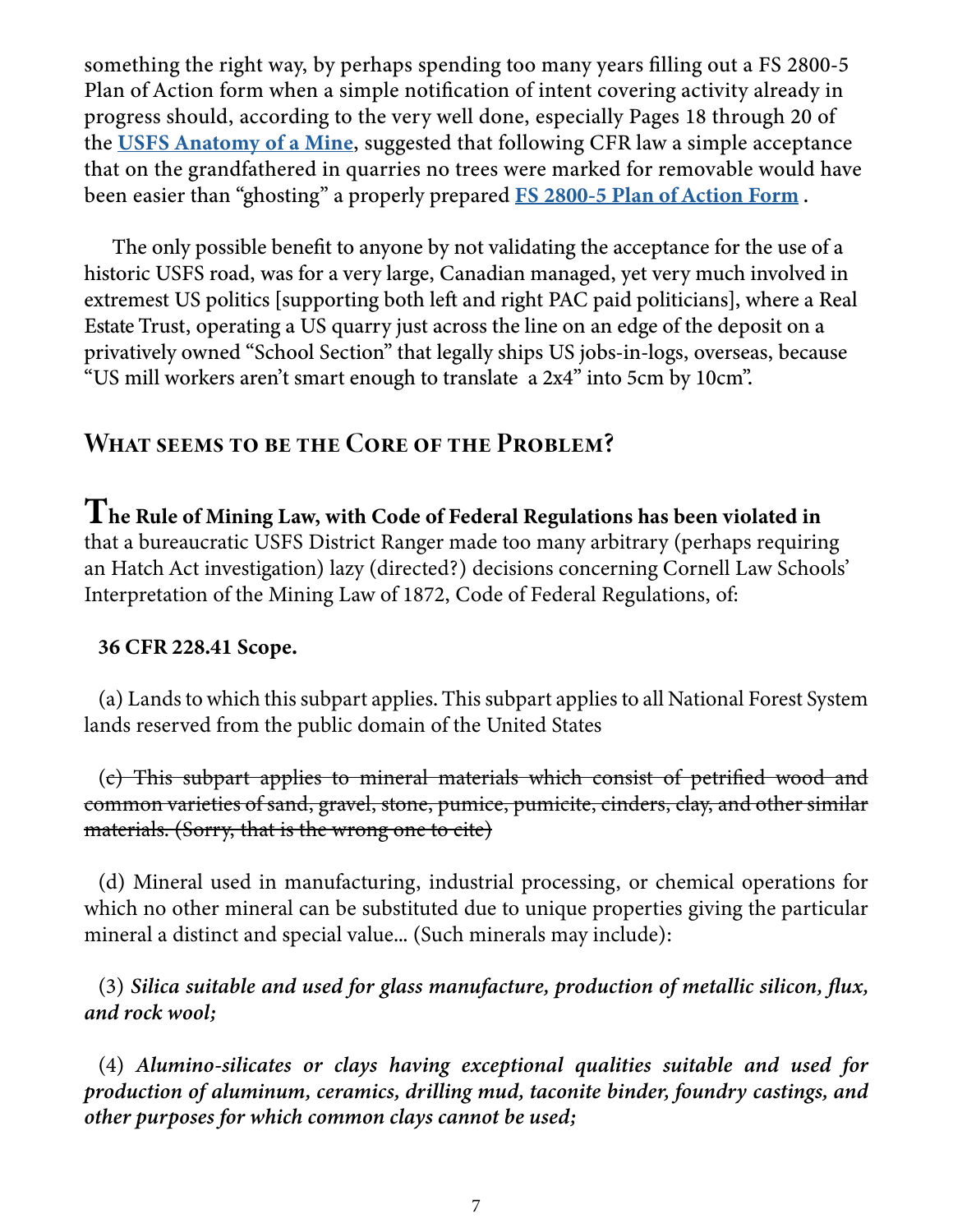something the right way, by perhaps spending too many years filling out a FS 2800-5 Plan of Action form when a simple notification of intent covering activity already in progress should, according to the very well done, especially Pages 18 through 20 of the [USFS Anatomy of a Mine](https://eco-gogreen-magazine.com/USFSAnatomyMine.pdf), suggested that following CFR law a simple acceptance that on the grandfathered in quarries no trees were marked for removable would have been easier than "ghosting" a properly prepared **[FS 2800-5 Plan of Action Form](https://theprospector.com/2021May1PlanOfAction2800-5.pdf).** 

The only possible benefit to anyone by not validating the acceptance for the use of a historic USFS road, was for a very large, Canadian managed, yet very much involved in extremest US politics [supporting both left and right PAC paid politicians], where a Real Estate Trust, operating a US quarry just across the line on an edge of the deposit on a privatively owned "School Section" that legally ships US jobs-in-logs, overseas, because "US mill workers aren't smart enough to translate a 2x4" into 5cm by 10cm".

# WHAT SEEMS TO BE THE CORE OF THE PROBLEM?

 ${\bf T}$ he Rule of Mining Law, with Code of Federal Regulations has been violated in that a bureaucratic USFS District Ranger made too many arbitrary (perhaps requiring an Hatch Act investigation) lazy (directed?) decisions concerning Cornell Law Schools' Interpretation of the Mining Law of 1872, Code of Federal Regulations, of:

#### 36 CFR 228.41 Scope.

(a) Lands to which this subpart applies. This subpart applies to all National Forest System lands reserved from the public domain of the United States

(c) This subpart applies to mineral materials which consist of petrified wood and common varieties of sand, gravel, stone, pumice, pumicite, cinders, clay, and other similar materials. (Sorry, that is the wrong one to cite)

(d) Mineral used in manufacturing, industrial processing, or chemical operations for which no other mineral can be substituted due to unique properties giving the particular mineral a distinct and special value... (Such minerals may include):

(3) *Silica suitable and used for glass manufacture, production of metallic silicon, flux, and rock wool;*

(4) *Alumino-silicates or clays having exceptional qualities suitable and used for production of aluminum, ceramics, drilling mud, taconite binder, foundry castings, and other purposes for which common clays cannot be used;*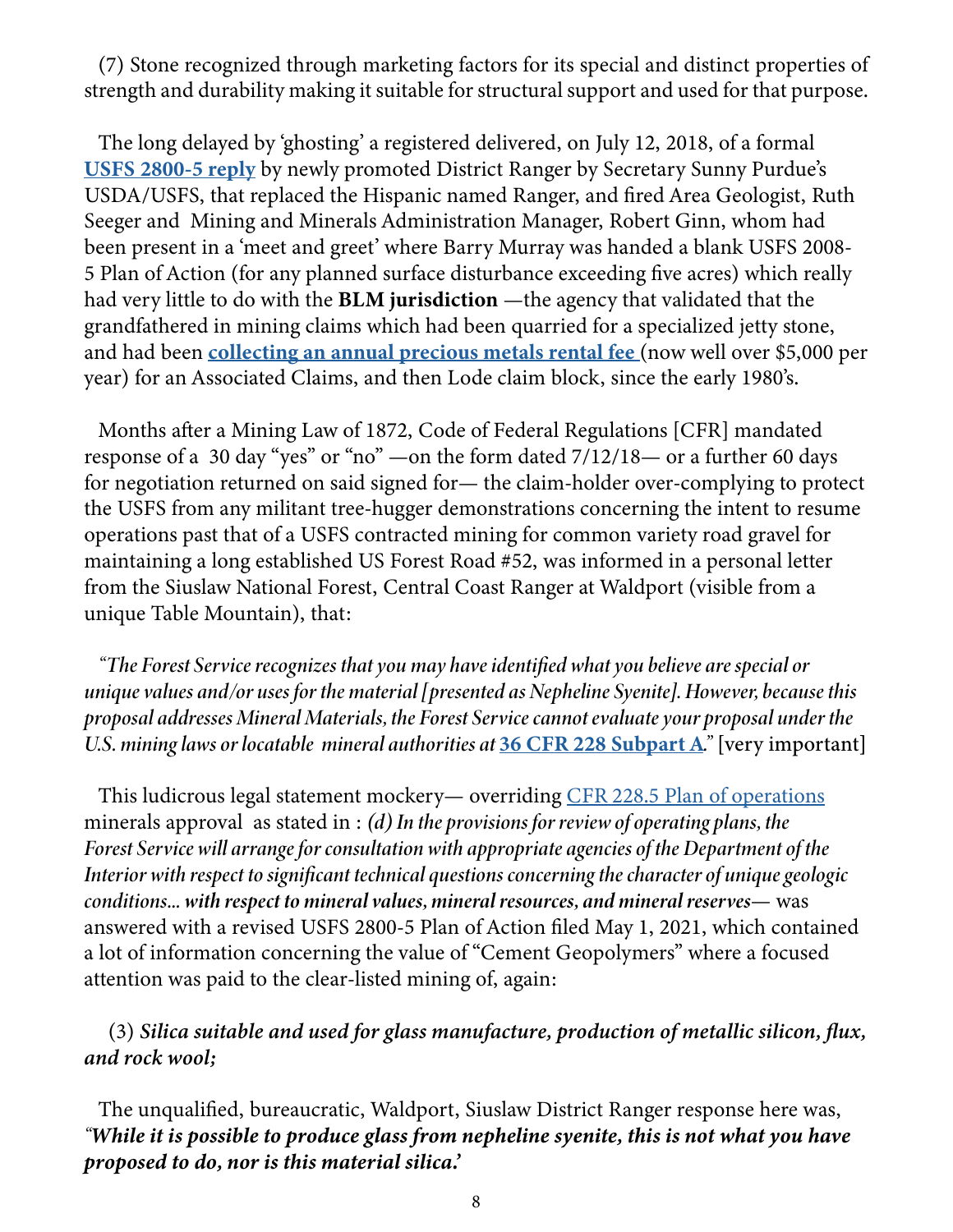(7) Stone recognized through marketing factors for its special and distinct properties of strength and durability making it suitable for structural support and used for that purpose.

The long delayed by 'ghosting' a registered delivered, on July 12, 2018, of a formal [USFS 2800-5 reply](https://theprospector.com/2021May1PlanOfAction2800-5.pdf) by newly promoted District Ranger by Secretary Sunny Purdue's USDA/USFS, that replaced the Hispanic named Ranger, and fired Area Geologist, Ruth Seeger and Mining and Minerals Administration Manager, Robert Ginn, whom had been present in a 'meet and greet' where Barry Murray was handed a blank USFS 2008- 5 Plan of Action (for any planned surface disturbance exceeding five acres) which really had very little to do with the **BLM jurisdiction** —the agency that validated that the grandfathered in mining claims which had been quarried for a specialized jetty stone, and had been [collecting an annual precious metals rental fee](https://eco-gogreen-magazine.com/MineralRightsRecordspdf.pdf) (now well over \$5,000 per year) for an Associated Claims, and then Lode claim block, since the early 1980's.

Months after a Mining Law of 1872, Code of Federal Regulations [CFR] mandated response of a 30 day "yes" or "no" —on the form dated 7/12/18— or a further 60 days for negotiation returned on said signed for— the claim-holder over-complying to protect the USFS from any militant tree-hugger demonstrations concerning the intent to resume operations past that of a USFS contracted mining for common variety road gravel for maintaining a long established US Forest Road #52, was informed in a personal letter from the Siuslaw National Forest, Central Coast Ranger at Waldport (visible from a unique Table Mountain), that:

*"The Forest Service recognizes that you may have identified what you believe are special or unique values and/or uses for the material [presented as Nepheline Syenite]. However, because this proposal addresses Mineral Materials, the Forest Service cannot evaluate your proposal under the U.S. mining laws or locatable mineral authorities at [36 CFR 228 Subpart A](https://eco-gogreen-magazine.com/fsm9_020952.pdf)<sup>"</sup> [very important]* 

This ludicrous legal statement mockery— overriding [CFR 228.5 Plan of operations](https://theprospector.com/2021May1PlanOfAction2800-5.pdf) minerals approval as stated in : *(d) In the provisions for review of operating plans, the Forest Service will arrange for consultation with appropriate agencies of the Department of the Interior with respect to significant technical questions concerning the character of unique geologic conditions... with respect to mineral values, mineral resources, and mineral reserves*— was answered with a revised USFS 2800-5 Plan of Action filed May 1, 2021, which contained a lot of information concerning the value of "Cement Geopolymers" where a focused attention was paid to the clear-listed mining of, again:

#### (3) *Silica suitable and used for glass manufacture, production of metallic silicon, flux, and rock wool;*

The unqualified, bureaucratic, Waldport, Siuslaw District Ranger response here was, *"While it is possible to produce glass from nepheline syenite, this is not what you have proposed to do, nor is this material silica.'*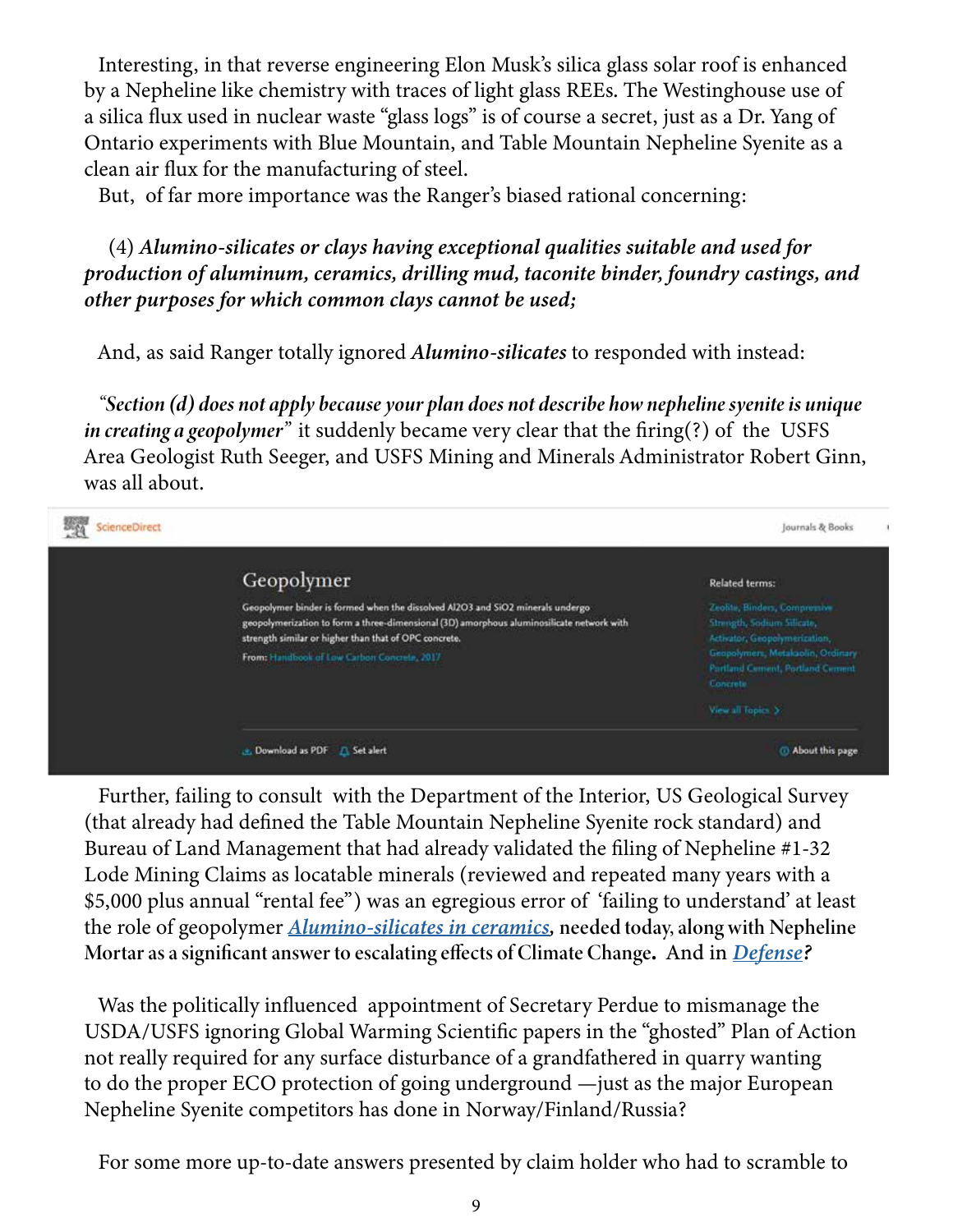Interesting, in that reverse engineering Elon Musk's silica glass solar roof is enhanced by a Nepheline like chemistry with traces of light glass REEs. The Westinghouse use of a silica flux used in nuclear waste "glass logs" is of course a secret, just as a Dr. Yang of Ontario experiments with Blue Mountain, and Table Mountain Nepheline Syenite as a clean air flux for the manufacturing of steel.

But, of far more importance was the Ranger's biased rational concerning:

 (4) *Alumino-silicates or clays having exceptional qualities suitable and used for production of aluminum, ceramics, drilling mud, taconite binder, foundry castings, and other purposes for which common clays cannot be used;*

And, as said Ranger totally ignored *Alumino-silicates* to responded with instead:

*"Section (d) does not apply because your plan does not describe how nepheline syenite is unique in creating a geopolymer"* it suddenly became very clear that the firing(?) of the USFS Area Geologist Ruth Seeger, and USFS Mining and Minerals Administrator Robert Ginn, was all about.



Further, failing to consult with the Department of the Interior, US Geological Survey (that already had defined the Table Mountain Nepheline Syenite rock standard) and Bureau of Land Management that had already validated the filing of Nepheline #1-32 Lode Mining Claims as locatable minerals (reviewed and repeated many years with a \$5,000 plus annual "rental fee") was an egregious error of 'failing to understand' at least the role of geopolymer *[Alumino-silicates in ceramics](https://eco-gogreen-magazine.com/ceramics.pdf),* needed today, along with Nepheline Mortar as a significant answer to escalating effects of Climate Change. And in *[Defense?](https://eco-gogreen-magazine.com/TechnicalCeramicsMilitary.pdf)*

Was the politically influenced appointment of Secretary Perdue to mismanage the USDA/USFS ignoring Global Warming Scientific papers in the "ghosted" Plan of Action not really required for any surface disturbance of a grandfathered in quarry wanting to do the proper ECO protection of going underground —just as the major European Nepheline Syenite competitors has done in Norway/Finland/Russia?

For some more up-to-date answers presented by claim holder who had to scramble to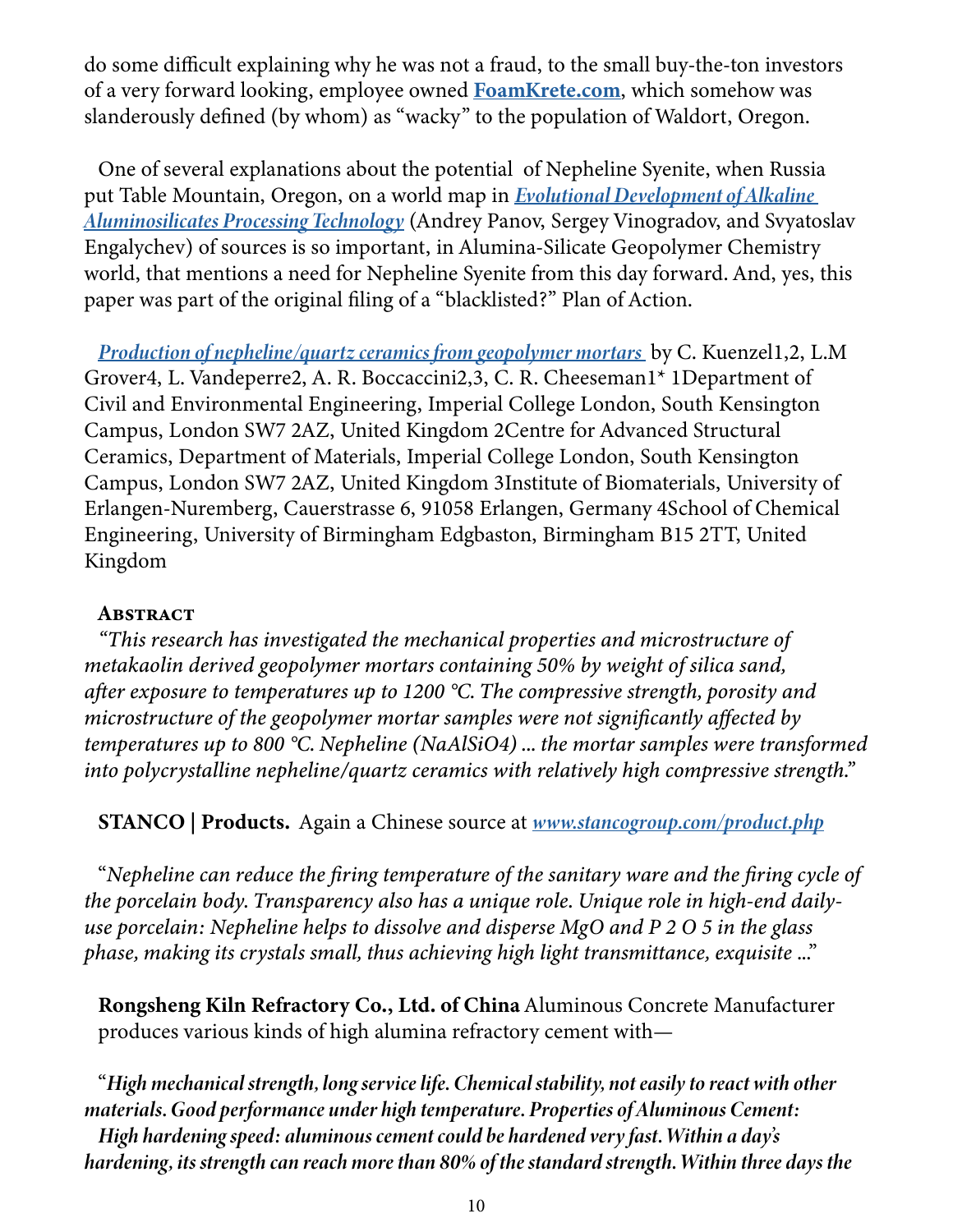do some difficult explaining why he was not a fraud, to the small buy-the-ton investors of a very forward looking, employee owned **FoamKrete.com**, which somehow was slanderously defined (by whom) as "wacky" to the population of Waldort, Oregon.

One of several explanations about the potential of Nepheline Syenite, when Russia put Table Mountain, Oregon, on a world map in *[Evolutional Development of Alkaline](https://eco-gogreen-magazine.com/AluminosilicatesTechnologyMap.pdf)  [Aluminosilicates Processing Technology](https://eco-gogreen-magazine.com/AluminosilicatesTechnologyMap.pdf)* (Andrey Panov, Sergey Vinogradov, and Svyatoslav Engalychev) of sources is so important, in Alumina-Silicate Geopolymer Chemistry world, that mentions a need for Nepheline Syenite from this day forward. And, yes, this paper was part of the original filing of a "blacklisted?" Plan of Action.

*[Production of nepheline/quartz ceramics from geopolymer mortars](https://eco-gogreen-magazine.com/NephelineCeramics77018249.pdf)* by C. Kuenzel1,2, L.M Grover4, L. Vandeperre2, A. R. Boccaccini2,3, C. R. Cheeseman1\* 1Department of Civil and Environmental Engineering, Imperial College London, South Kensington Campus, London SW7 2AZ, United Kingdom 2Centre for Advanced Structural Ceramics, Department of Materials, Imperial College London, South Kensington Campus, London SW7 2AZ, United Kingdom 3Institute of Biomaterials, University of Erlangen-Nuremberg, Cauerstrasse 6, 91058 Erlangen, Germany 4School of Chemical Engineering, University of Birmingham Edgbaston, Birmingham B15 2TT, United Kingdom

#### **ABSTRACT**

*"This research has investigated the mechanical properties and microstructure of metakaolin derived geopolymer mortars containing 50% by weight of silica sand, after exposure to temperatures up to 1200 °C. The compressive strength, porosity and microstructure of the geopolymer mortar samples were not significantly affected by temperatures up to 800 °C. Nepheline (NaAlSiO4) ... the mortar samples were transformed into polycrystalline nepheline/quartz ceramics with relatively high compressive strength."* 

STANCO | Products. Again a Chinese source at *[www.stancogroup.com/product.php](http://www.stancogroup.com/product.php?i=1#nepheline)*

"*Nepheline can reduce the firing temperature of the sanitary ware and the firing cycle of the porcelain body. Transparency also has a unique role. Unique role in high-end dailyuse porcelain: Nepheline helps to dissolve and disperse MgO and P 2 O 5 in the glass phase, making its crystals small, thus achieving high light transmittance, exquisite* ..."

Rongsheng Kiln Refractory Co., Ltd. of China Aluminous Concrete Manufacturer produces various kinds of high alumina refractory cement with—

"*High mechanical strength, long service life. Chemical stability, not easily to react with other materials. Good performance under high temperature. Properties of Aluminous Cement: High hardening speed: aluminous cement could be hardened very fast. Within a day's hardening, its strength can reach more than 80% of the standard strength. Within three days the*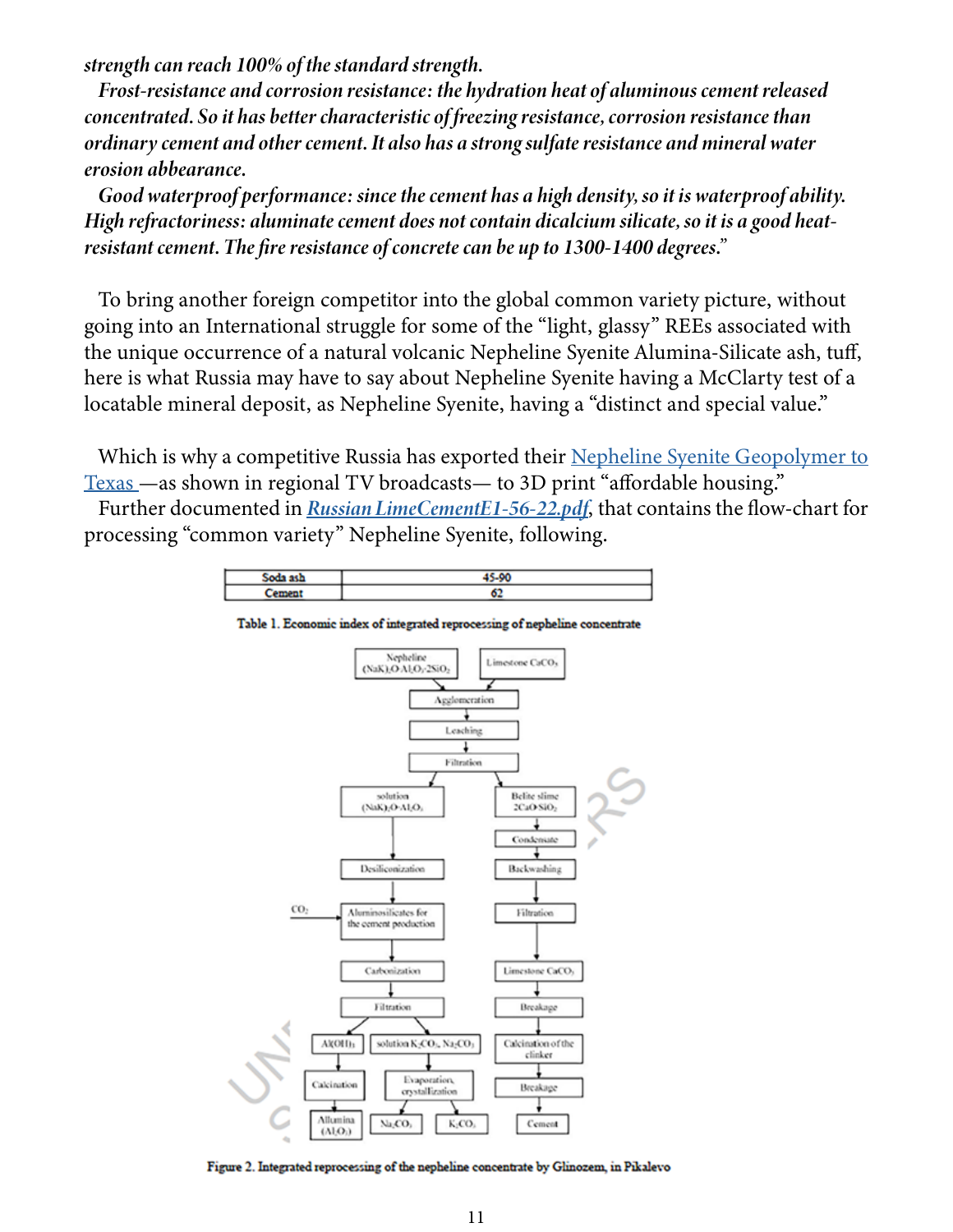*strength can reach 100% of the standard strength.*

*Frost-resistance and corrosion resistance: the hydration heat of aluminous cement released concentrated. So it has better characteristic of freezing resistance, corrosion resistance than ordinary cement and other cement. It also has a strong sulfate resistance and mineral water erosion abbearance.*

*Good waterproof performance: since the cement has a high density, so it is waterproof ability. High refractoriness: aluminate cement does not contain dicalcium silicate, so it is a good heatresistant cement. The fire resistance of concrete can be up to 1300-1400 degrees."*

To bring another foreign competitor into the global common variety picture, without going into an International struggle for some of the "light, glassy" REEs associated with the unique occurrence of a natural volcanic Nepheline Syenite Alumina-Silicate ash, tuff, here is what Russia may have to say about Nepheline Syenite having a McClarty test of a locatable mineral deposit, as Nepheline Syenite, having a "distinct and special value."

Which is why a competitive Russia has exported their [Nepheline Syenite Geopolymer to](https://www.cnn.com/videos/business/2021/12/17/3d-printing-houses-icon-kg-orig.cnn-business) [Texas](https://www.cnn.com/videos/business/2021/12/17/3d-printing-houses-icon-kg-orig.cnn-business) —as shown in regional TV broadcasts— to 3D print "affordable housing."

Further documented in *[Russian LimeCementE1-56-22.pdf](https://eco-gogreen-magazine.com/RussianLimeCement.pdf)*, that contains the flow-chart for processing "common variety" Nepheline Syenite, following.

| <b>Code sel</b> | 45.00 |
|-----------------|-------|
| -----           | v.    |
|                 |       |



Table 1. Economic index of integrated reprocessing of nepheline concentrate

Figure 2. Integrated reprocessing of the nepheline concentrate by Glinozem, in Pikalevo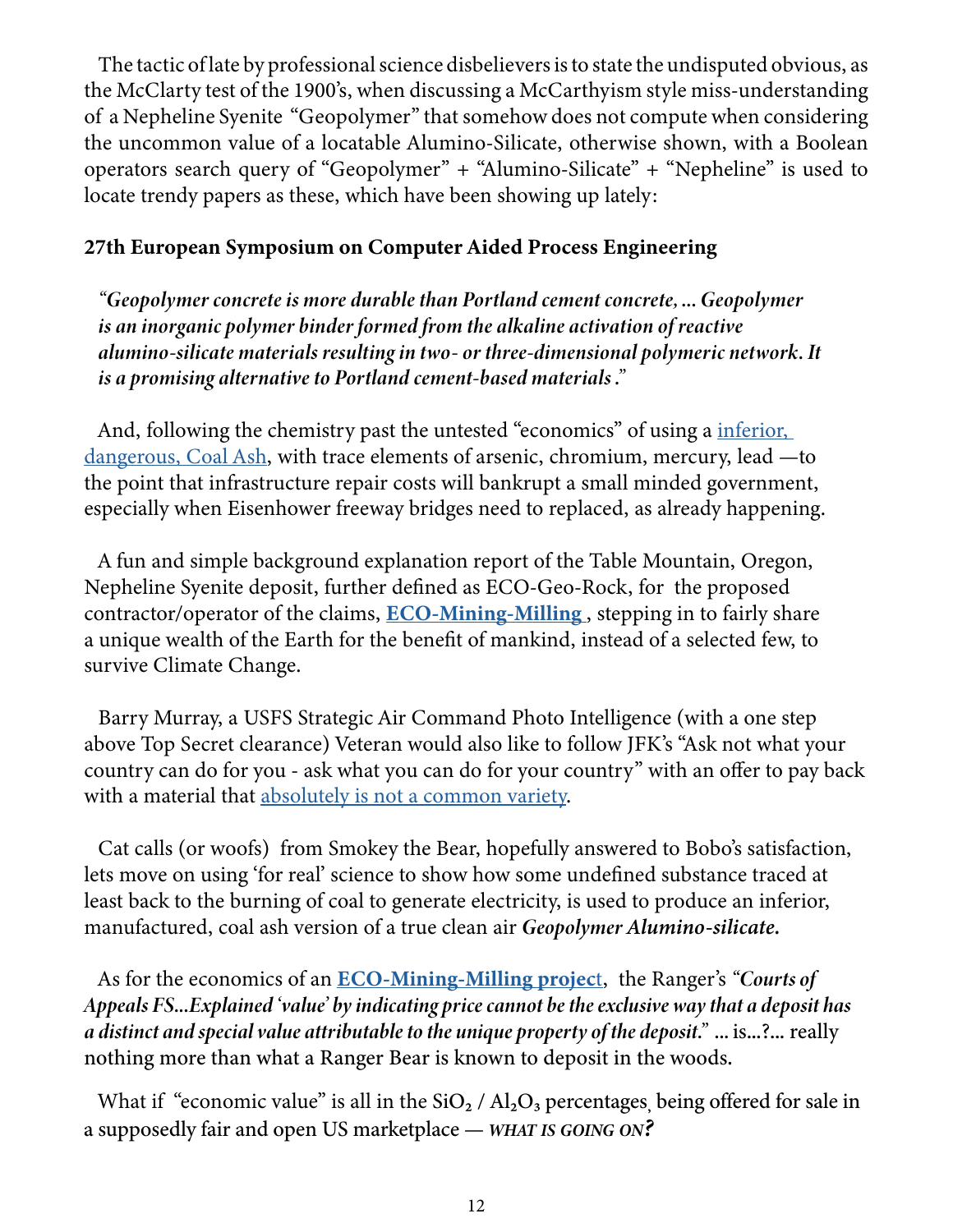The tactic of late by professional science disbelievers is to state the undisputed obvious, as the McClarty test of the 1900's, when discussing a McCarthyism style miss-understanding of a Nepheline Syenite "Geopolymer" that somehow does not compute when considering the uncommon value of a locatable Alumino-Silicate, otherwise shown, with a Boolean operators search query of "Geopolymer" + "Alumino-Silicate" + "Nepheline" is used to locate trendy papers as these, which have been showing up lately:

#### 27th European Symposium on Computer Aided Process Engineering

*"Geopolymer concrete is more durable than Portland cement concrete, ... Geopolymer is an inorganic polymer binder formed from the alkaline activation of reactive alumino-silicate materials resulting in two- or three-dimensional polymeric network. It is a promising alternative to Portland cement-based materials ."*

And, following the chemistry past the untested "economics" of using a *inferior*, [dangerous, Coal Ash,](https://eco-gogreen-magazine.com/CoalAshRadioactive.pdf) with trace elements of arsenic, chromium, mercury, lead —to the point that infrastructure repair costs will bankrupt a small minded government, especially when Eisenhower freeway bridges need to replaced, as already happening.

A fun and simple background explanation report of the Table Mountain, Oregon, Nepheline Syenite deposit, further defined as ECO-Geo-Rock, for the proposed contractor/operator of the claims,  $ECO-Mining-Milling$ , stepping in to fairly share a unique wealth of the Earth for the benefit of mankind, instead of a selected few, to survive Climate Change.

Barry Murray, a USFS Strategic Air Command Photo Intelligence (with a one step above Top Secret clearance) Veteran would also like to follow JFK's "Ask not what your country can do for you - ask what you can do for your country" with an offer to pay back with a material that [absolutely is not a common variety.](https://eco-gogreen-magazine.com/TechnicalCeramicsMilitary.pdf)

Cat calls (or woofs) from Smokey the Bear, hopefully answered to Bobo's satisfaction, lets move on using 'for real' science to show how some undefined substance traced at least back to the burning of coal to generate electricity, is used to produce an inferior, manufactured, coal ash version of a true clean air *Geopolymer Alumino-silicate.*

As for the economics of an [ECO-Mining-Milling](https://eco-mining-milling.com) project, the Ranger's *"Courts of Appeals FS...Explained 'value' by indicating price cannot be the exclusive way that a deposit has a distinct and special value attributable to the unique property of the deposit." ...* is...?... really nothing more than what a Ranger Bear is known to deposit in the woods.

What if "economic value" is all in the  $SiO<sub>2</sub>$  /  $Al<sub>2</sub>O<sub>3</sub>$  percentages, being offered for sale in a supposedly fair and open US marketplace — *what is going on?*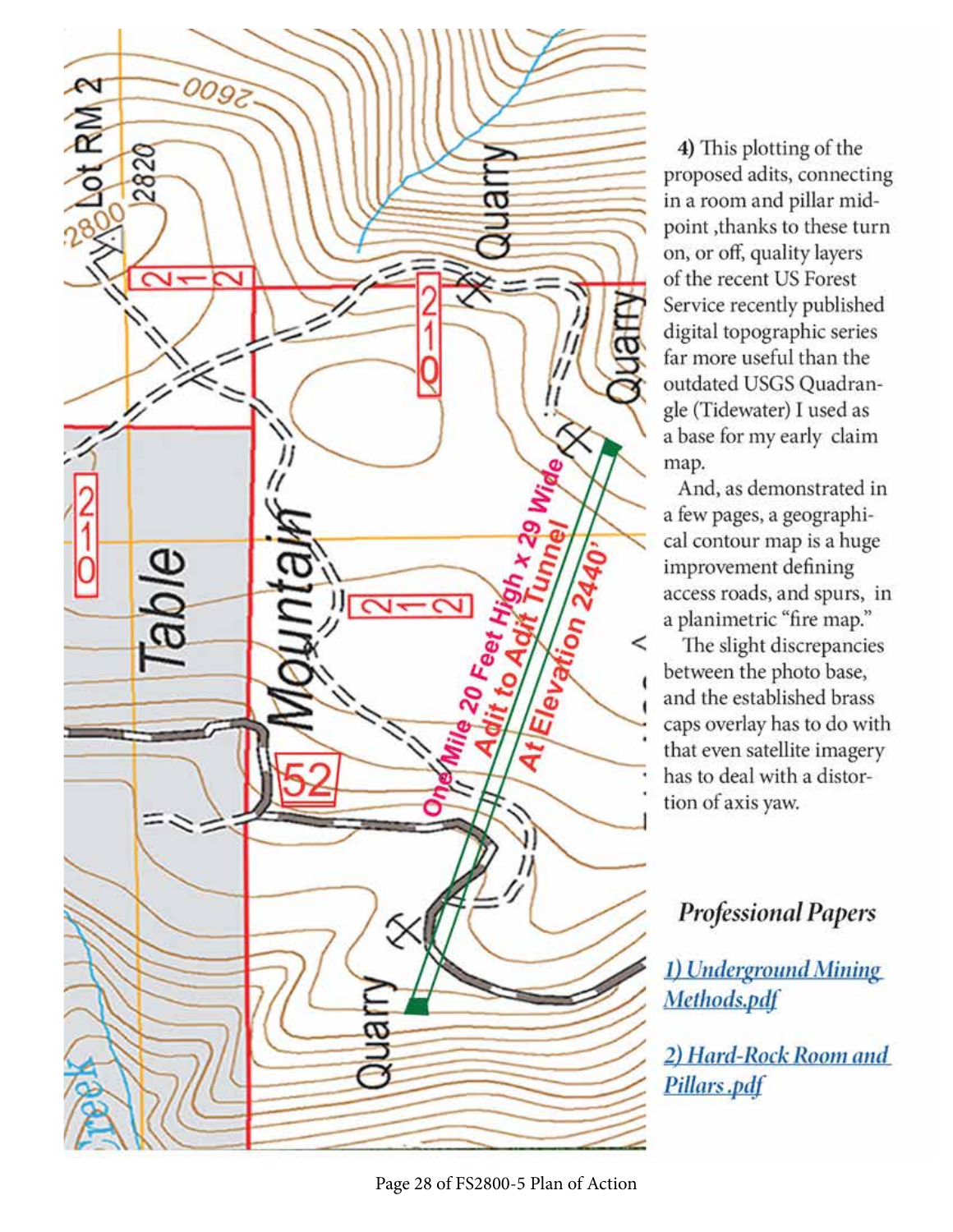

4) This plotting of the proposed adits, connecting in a room and pillar midpoint, thanks to these turn on, or off, quality layers of the recent US Forest Service recently published digital topographic series far more useful than the outdated USGS Quadrangle (Tidewater) I used as a base for my early claim map.

And, as demonstrated in a few pages, a geographical contour map is a huge improvement defining access roads, and spurs, in a planimetric "fire map."

The slight discrepancies between the photo base, and the established brass caps overlay has to do with that even satellite imagery has to deal with a distortion of axis yaw.

# **Professional Papers**

1) Underground Mining Methods.pdf

2) Hard-Rock Room and Pillars.pdf

Page 28 of FS2800-5 Plan of Action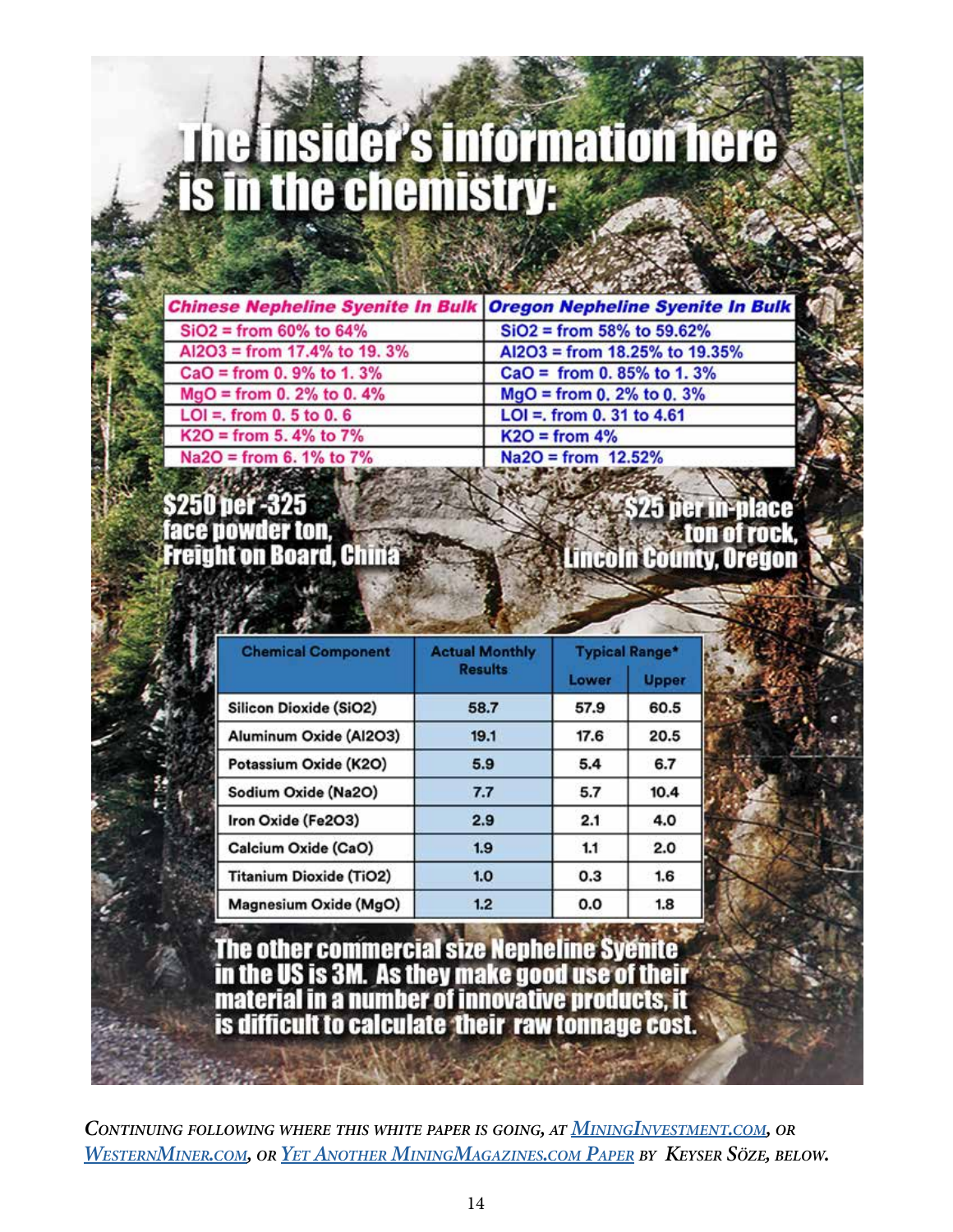# The Insider's information here<br>Is in the chemistry:

|                                                                                                                       | the basic control of the control of the control of the control of the control of the control of the control of |
|-----------------------------------------------------------------------------------------------------------------------|----------------------------------------------------------------------------------------------------------------|
|                                                                                                                       | <b>Chinese Nepheline Syenite In Bulk Oregon Nepheline Syenite In Bulk &amp;</b>                                |
| $SiO2 = from 60\% to 64\%$                                                                                            | $SiO2 = from 58\%$ to 59.62%                                                                                   |
| AI2O3 = from 17.4% to 19.3%                                                                                           | Al2O3 = from 18.25% to 19.35%                                                                                  |
| $CaO = from 0.9% to 1.3%$                                                                                             | $CaO = from 0.85\%$ to 1.3%                                                                                    |
| $MgO = from 0.2% to 0.4%$                                                                                             | $MgO = from 0.2% to 0.3%$                                                                                      |
| $LOI =$ , from 0. 5 to 0. 6                                                                                           | $LOI =$ . from 0. 31 to 4.61                                                                                   |
| $K2O = from 5.4\% to 7\%$                                                                                             | $K2O = from 4%$                                                                                                |
| Na2O = from 6.1% to 7%                                                                                                | $Na2O = from$ 12.52%                                                                                           |
| <b>MARKET CALL AND A START AND A START OF A START AND A START OF A START OF A START OF A START OF A START OF A ST</b> |                                                                                                                |

# face powder ton, **Freight on Board, China**

**Lincoln County, Oregon** 

| <b>Chemical Component</b>      | <b>Actual Monthly</b> | <b>Typical Range*</b> |              |
|--------------------------------|-----------------------|-----------------------|--------------|
|                                | <b>Results</b>        | Lower                 | <b>Upper</b> |
| <b>Silicon Dioxide (SiO2)</b>  | 58.7                  | 57.9                  | 60.5         |
| Aluminum Oxide (Al2O3)         | 19.1                  | 17.6                  | 20.5         |
| Potassium Oxide (K2O)          | 5.9                   | 5.4                   | 6.7          |
| Sodium Oxide (Na2O)            | 7.7                   | 5.7                   | 10.4         |
| Iron Oxide (Fe2O3)             | 2.9                   | 2.1                   | 4.0          |
| Calcium Oxide (CaO)            | 1.9                   | 1.1                   | 2.0          |
| <b>Titanium Dioxide (TiO2)</b> | 1.0                   | 0.3                   | 1.6          |
| Magnesium Oxide (MgO)          | 1.2                   | 0.0                   | 1.8          |

The other commercial size Nepheline Syenite<br>in the US is 3M. As they make good use of their<br>material in a number of innovative products, it is difficult to calculate their raw tonnage cost.

*Continuing following where this white paper is going, at [MiningInvestment.com](https://mininginvestment.com), or [WesternMiner.com,](https://westernminer.com) or Yet [Another MiningMagazines.com](https://eco-gogreen-magazine.com/MiningInvestment101-1.pdf) Paper by Keyser Söze, below.*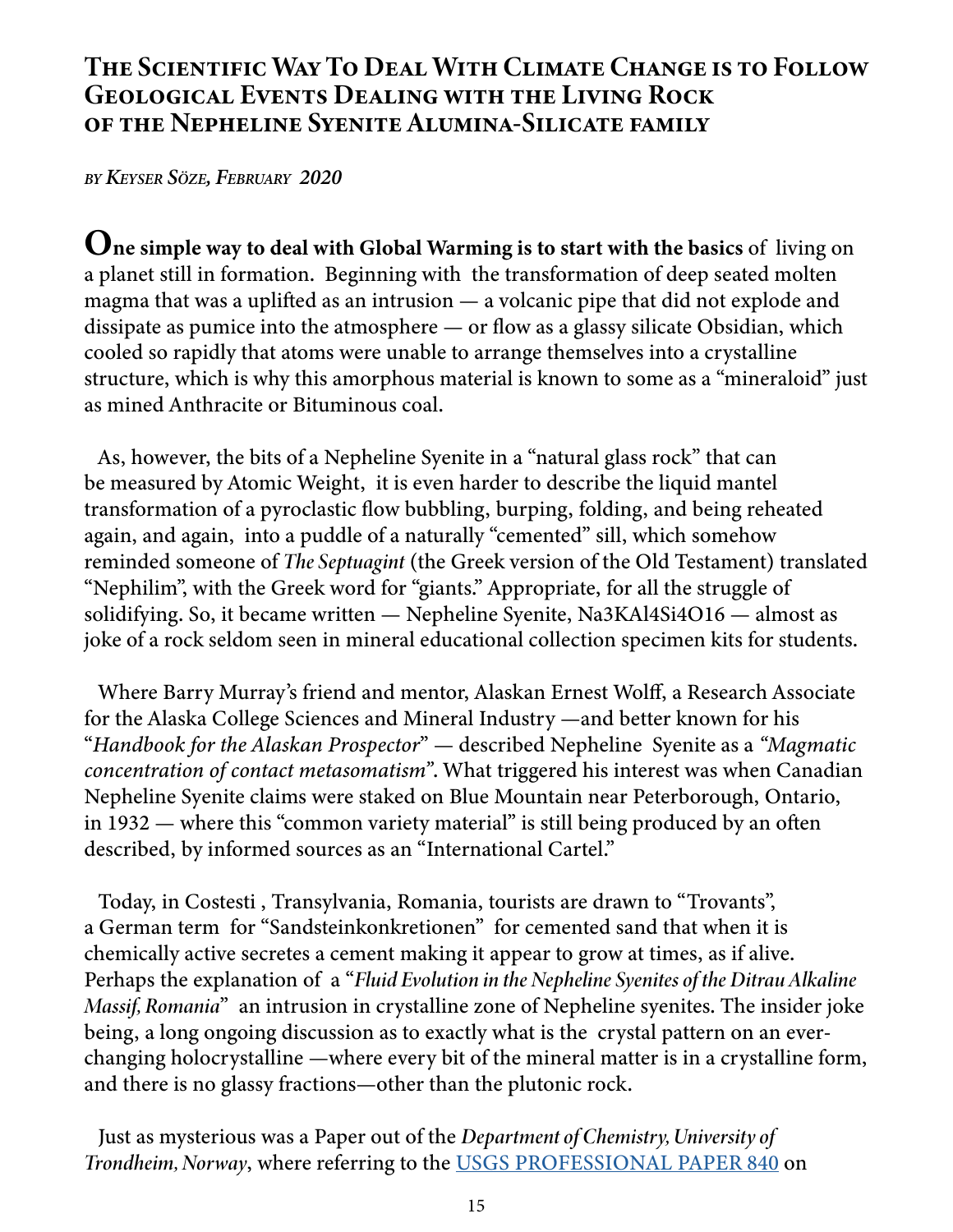# The Scientific Way To Deal With Climate Change is to Follow Geological Events Dealing with the Living Rock of the Nepheline Syenite Alumina-Silicate family

*by Keyser Söze, February 2020*

One simple way to deal with Global Warming is to start with the basics of living on a planet still in formation. Beginning with the transformation of deep seated molten magma that was a uplifted as an intrusion — a volcanic pipe that did not explode and dissipate as pumice into the atmosphere — or flow as a glassy silicate Obsidian, which cooled so rapidly that atoms were unable to arrange themselves into a crystalline structure, which is why this amorphous material is known to some as a "mineraloid" just as mined Anthracite or Bituminous coal.

As, however, the bits of a Nepheline Syenite in a "natural glass rock" that can be measured by Atomic Weight, it is even harder to describe the liquid mantel transformation of a pyroclastic flow bubbling, burping, folding, and being reheated again, and again, into a puddle of a naturally "cemented" sill, which somehow reminded someone of *The Septuagint* (the Greek version of the Old Testament) translated "Nephilim", with the Greek word for "giants." Appropriate, for all the struggle of solidifying. So, it became written — Nepheline Syenite, Na3KAl4Si4O16 — almost as joke of a rock seldom seen in mineral educational collection specimen kits for students.

Where Barry Murray's friend and mentor, Alaskan Ernest Wolff, a Research Associate for the Alaska College Sciences and Mineral Industry —and better known for his "*Handbook for the Alaskan Prospector*" — described Nepheline Syenite as a *"Magmatic concentration of contact metasomatism"*. What triggered his interest was when Canadian Nepheline Syenite claims were staked on Blue Mountain near Peterborough, Ontario, in 1932 — where this "common variety material" is still being produced by an often described, by informed sources as an "International Cartel."

Today, in Costesti , Transylvania, Romania, tourists are drawn to "Trovants", a German term for "Sandsteinkonkretionen" for cemented sand that when it is chemically active secretes a cement making it appear to grow at times, as if alive. Perhaps the explanation of a "*Fluid Evolution in the Nepheline Syenites of the Ditrau Alkaline Massif, Romania*" an intrusion in crystalline zone of Nepheline syenites. The insider joke being, a long ongoing discussion as to exactly what is the crystal pattern on an everchanging holocrystalline —where every bit of the mineral matter is in a crystalline form, and there is no glassy fractions—other than the plutonic rock.

Just as mysterious was a Paper out of the *Department of Chemistry, University of Trondheim, Norway*, where referring to the [USGS PROFESSIONAL PAPER 840](https://eco-gogreen-magazine.com/USGSstandardsreport.pdf) on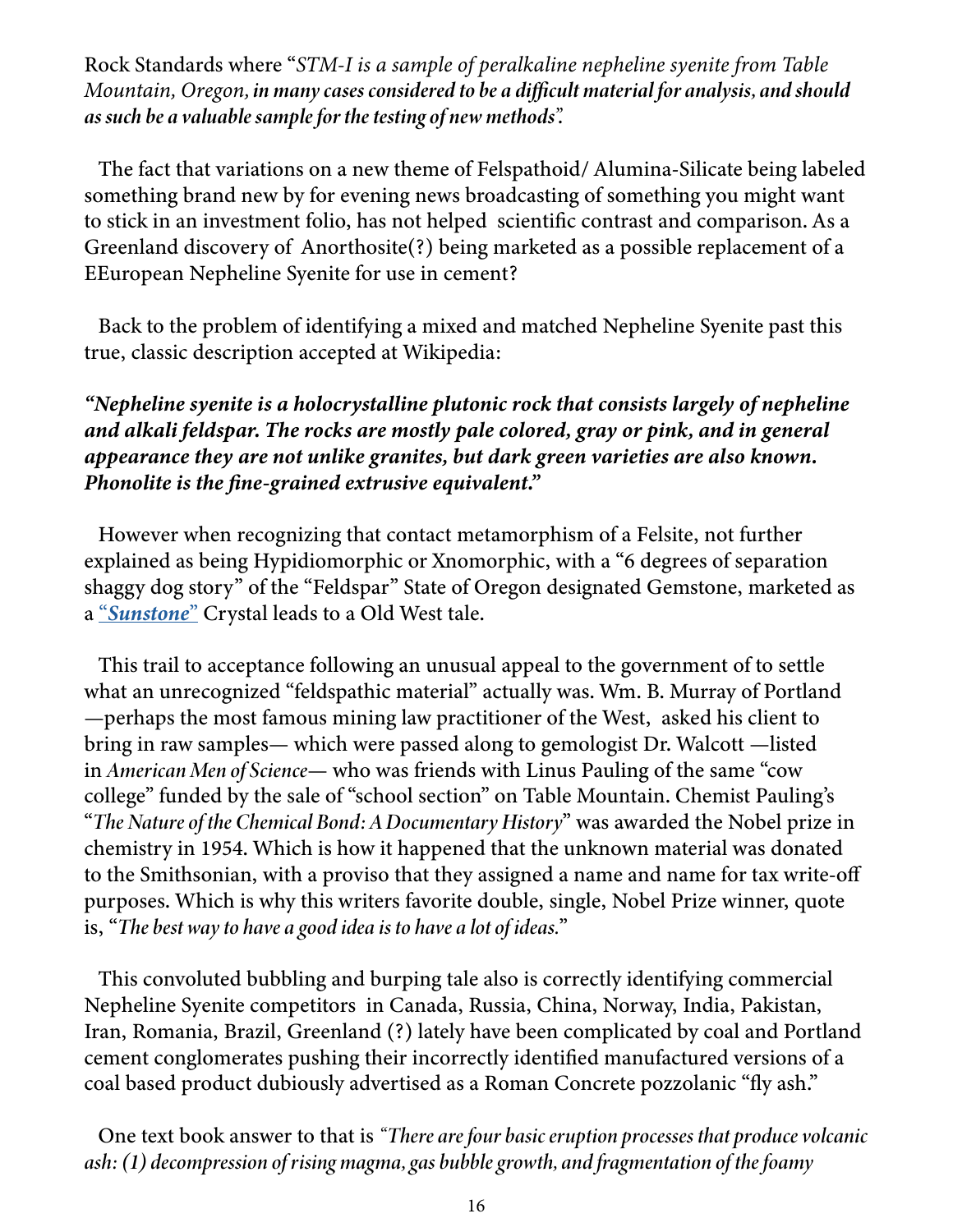Rock Standards where "*STM-I is a sample of peralkaline nepheline syenite from Table Mountain, Oregon, in many cases considered to be a difficult material for analysis, and should as such be a valuable sample for the testing of new methods".*

The fact that variations on a new theme of Felspathoid/ Alumina-Silicate being labeled something brand new by for evening news broadcasting of something you might want to stick in an investment folio, has not helped scientific contrast and comparison. As a Greenland discovery of Anorthosite(?) being marketed as a possible replacement of a EEuropean Nepheline Syenite for use in cement?

Back to the problem of identifying a mixed and matched Nepheline Syenite past this true, classic description accepted at Wikipedia:

*"Nepheline syenite is a holocrystalline plutonic rock that consists largely of nepheline and alkali feldspar. The rocks are mostly pale colored, gray or pink, and in general appearance they are not unlike granites, but dark green varieties are also known. Phonolite is the fine-grained extrusive equivalent."*

However when recognizing that contact metamorphism of a Felsite, not further explained as being Hypidiomorphic or Xnomorphic, with a "6 degrees of separation shaggy dog story" of the "Feldspar" State of Oregon designated Gemstone, marketed as a "*[Sunstone](https://www.johndyergems.com/gemstones/oregon-sunstone-gemstones-all.html)*" Crystal leads to a Old West tale.

This trail to acceptance following an unusual appeal to the government of to settle what an unrecognized "feldspathic material" actually was. Wm. B. Murray of Portland —perhaps the most famous mining law practitioner of the West, asked his client to bring in raw samples— which were passed along to gemologist Dr. Walcott —listed in *American Men of Science*— who was friends with Linus Pauling of the same "cow college" funded by the sale of "school section" on Table Mountain. Chemist Pauling's "*The Nature of the Chemical Bond: A Documentary History*" was awarded the Nobel prize in chemistry in 1954. Which is how it happened that the unknown material was donated to the Smithsonian, with a proviso that they assigned a name and name for tax write-off purposes. Which is why this writers favorite double, single, Nobel Prize winner, quote is, "*The best way to have a good idea is to have a lot of ideas.*"

This convoluted bubbling and burping tale also is correctly identifying commercial Nepheline Syenite competitors in Canada, Russia, China, Norway, India, Pakistan, Iran, Romania, Brazil, Greenland (?) lately have been complicated by coal and Portland cement conglomerates pushing their incorrectly identified manufactured versions of a coal based product dubiously advertised as a Roman Concrete pozzolanic "fly ash."

One text book answer to that is *"There are four basic eruption processes that produce volcanic ash: (1) decompression of rising magma, gas bubble growth, and fragmentation of the foamy*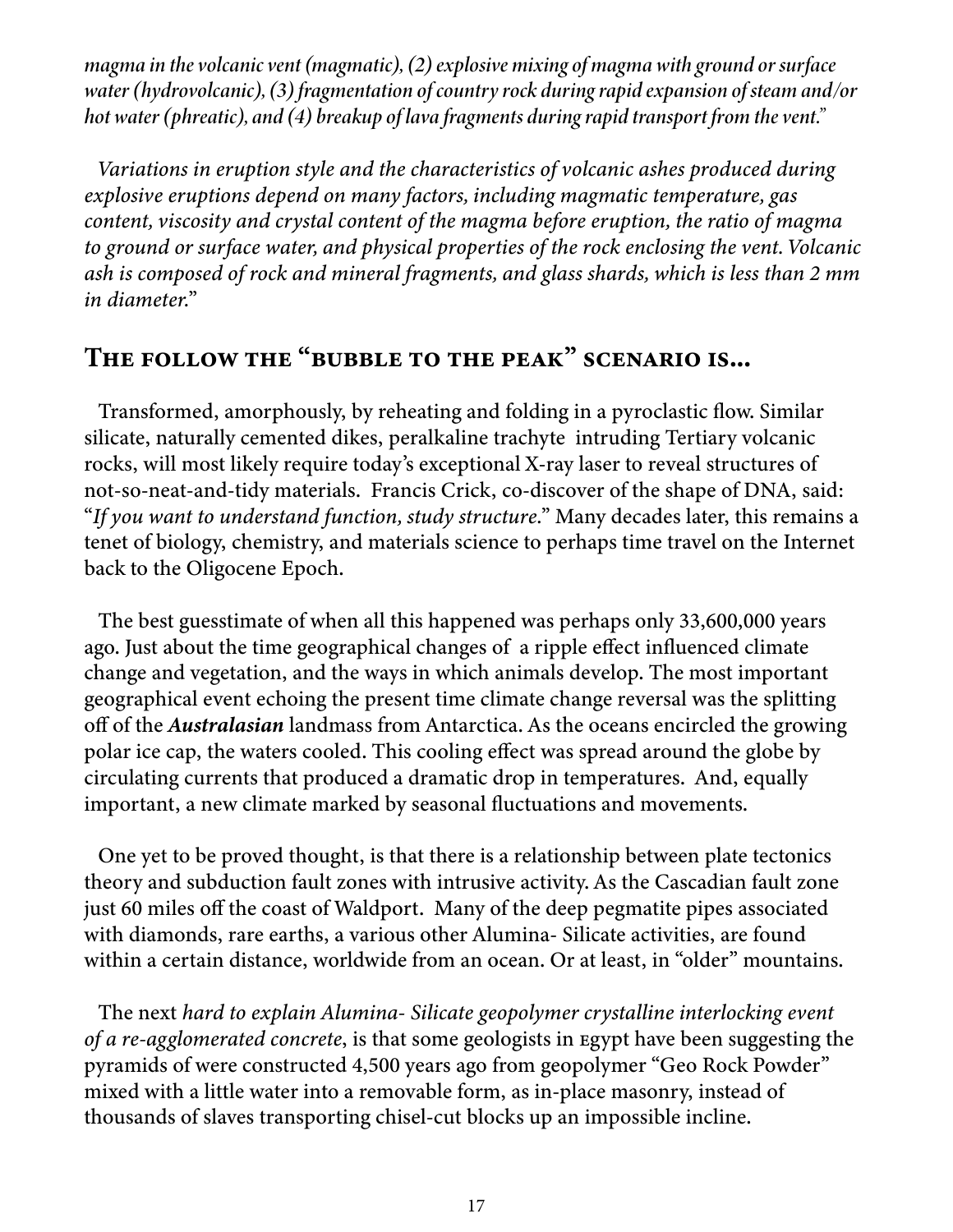*magma in the volcanic vent (magmatic), (2) explosive mixing of magma with ground or surface water (hydrovolcanic), (3) fragmentation of country rock during rapid expansion of steam and/or hot water (phreatic), and (4) breakup of lava fragments during rapid transport from the vent."* 

*Variations in eruption style and the characteristics of volcanic ashes produced during explosive eruptions depend on many factors, including magmatic temperature, gas content, viscosity and crystal content of the magma before eruption, the ratio of magma to ground or surface water, and physical properties of the rock enclosing the vent. Volcanic ash is composed of rock and mineral fragments, and glass shards, which is less than 2 mm in diameter.*"

# The follow the "bubble to the peak" scenario is...

Transformed, amorphously, by reheating and folding in a pyroclastic flow. Similar silicate, naturally cemented dikes, peralkaline trachyte intruding Tertiary volcanic rocks, will most likely require today's exceptional X-ray laser to reveal structures of not-so-neat-and-tidy materials. Francis Crick, co-discover of the shape of DNA, said: "*If you want to understand function, study structure.*" Many decades later, this remains a tenet of biology, chemistry, and materials science to perhaps time travel on the Internet back to the Oligocene Epoch.

The best guesstimate of when all this happened was perhaps only 33,600,000 years ago. Just about the time geographical changes of a ripple effect influenced climate change and vegetation, and the ways in which animals develop. The most important geographical event echoing the present time climate change reversal was the splitting off of the *Australasian* landmass from Antarctica. As the oceans encircled the growing polar ice cap, the waters cooled. This cooling effect was spread around the globe by circulating currents that produced a dramatic drop in temperatures. And, equally important, a new climate marked by seasonal fluctuations and movements.

One yet to be proved thought, is that there is a relationship between plate tectonics theory and subduction fault zones with intrusive activity. As the Cascadian fault zone just 60 miles off the coast of Waldport. Many of the deep pegmatite pipes associated with diamonds, rare earths, a various other Alumina- Silicate activities, are found within a certain distance, worldwide from an ocean. Or at least, in "older" mountains.

The next *hard to explain Alumina- Silicate geopolymer crystalline interlocking event of a re-agglomerated concrete*, is that some geologists in Egypt have been suggesting the pyramids of were constructed 4,500 years ago from geopolymer "Geo Rock Powder" mixed with a little water into a removable form, as in-place masonry, instead of thousands of slaves transporting chisel-cut blocks up an impossible incline.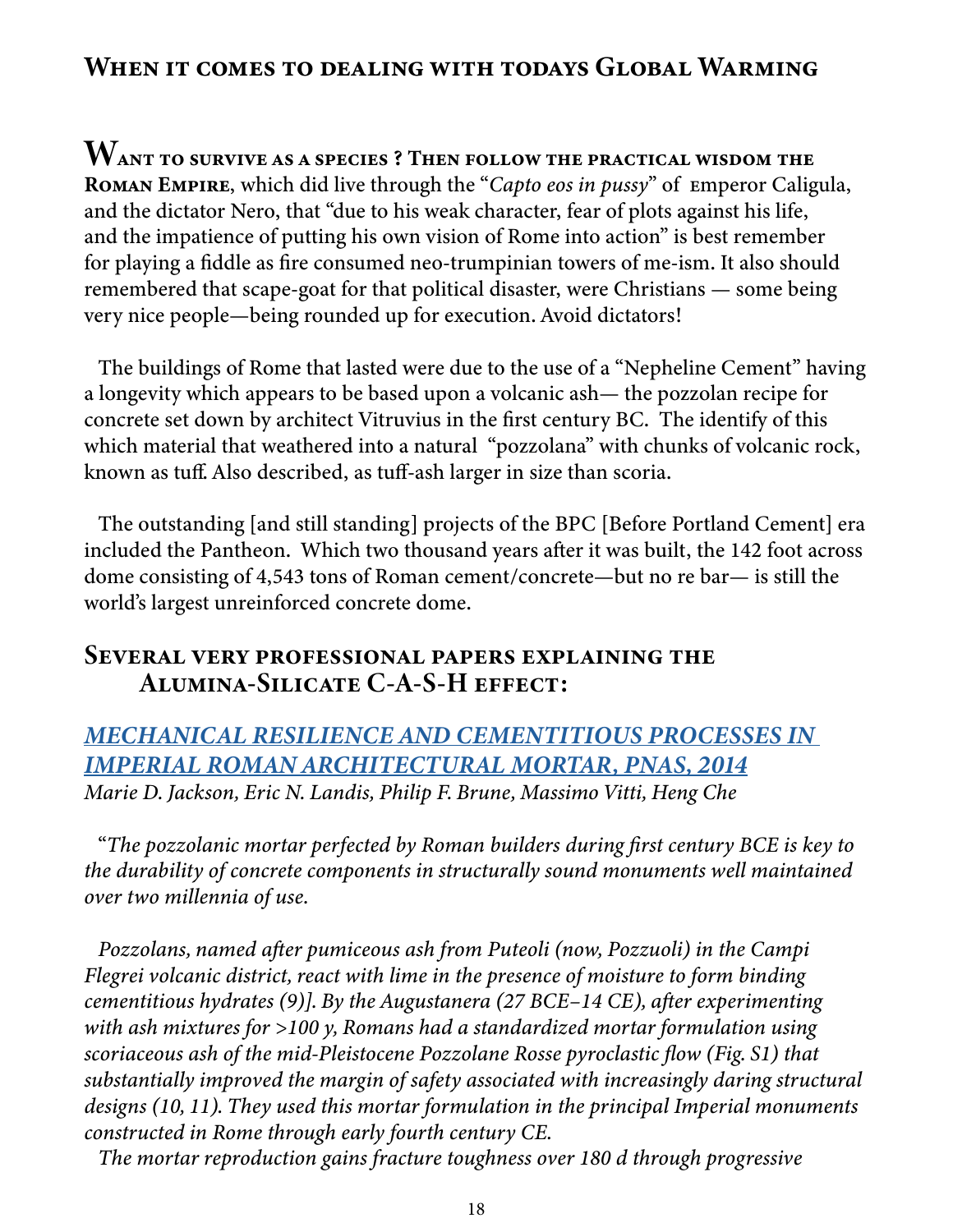## When it comes to dealing with todays Global Warming

Want to survive as a species ? Then follow the practical wisdom the Roman Empire, which did live through the "*Capto eos in pussy*" of Emperor Caligula, and the dictator Nero, that "due to his weak character, fear of plots against his life, and the impatience of putting his own vision of Rome into action" is best remember for playing a fiddle as fire consumed neo-trumpinian towers of me-ism. It also should remembered that scape-goat for that political disaster, were Christians — some being very nice people—being rounded up for execution. Avoid dictators!

The buildings of Rome that lasted were due to the use of a "Nepheline Cement" having a longevity which appears to be based upon a volcanic ash— the pozzolan recipe for concrete set down by architect Vitruvius in the first century BC. The identify of this which material that weathered into a natural "pozzolana" with chunks of volcanic rock, known as tuff. Also described, as tuff-ash larger in size than scoria.

The outstanding [and still standing] projects of the BPC [Before Portland Cement] era included the Pantheon. Which two thousand years after it was built, the 142 foot across dome consisting of 4,543 tons of Roman cement/concrete—but no re bar— is still the world's largest unreinforced concrete dome.

## Several very professional papers explaining the Alumina-Silicate C-A-S-H effect:

*[MECHANICAL RESILIENCE AND CEMENTITIOUS PROCESSES IN](https://eco-gogreen-magazine.com/MechanicalcementitiousRomanCement.pdf)  [IMPERIAL ROMAN ARCHITECTURAL MORTAR, PNAS, 2014](https://eco-gogreen-magazine.com/MechanicalcementitiousRomanCement.pdf) Marie D. Jackson, Eric N. Landis, Philip F. Brune, Massimo Vitti, Heng Che*

"*The pozzolanic mortar perfected by Roman builders during first century BCE is key to the durability of concrete components in structurally sound monuments well maintained over two millennia of use.*

*Pozzolans, named after pumiceous ash from Puteoli (now, Pozzuoli) in the Campi Flegrei volcanic district, react with lime in the presence of moisture to form binding cementitious hydrates (9)]. By the Augustanera (27 BCE–14 CE), after experimenting with ash mixtures for >100 y, Romans had a standardized mortar formulation using scoriaceous ash of the mid-Pleistocene Pozzolane Rosse pyroclastic flow (Fig. S1) that substantially improved the margin of safety associated with increasingly daring structural designs (10, 11). They used this mortar formulation in the principal Imperial monuments constructed in Rome through early fourth century CE.*

*The mortar reproduction gains fracture toughness over 180 d through progressive*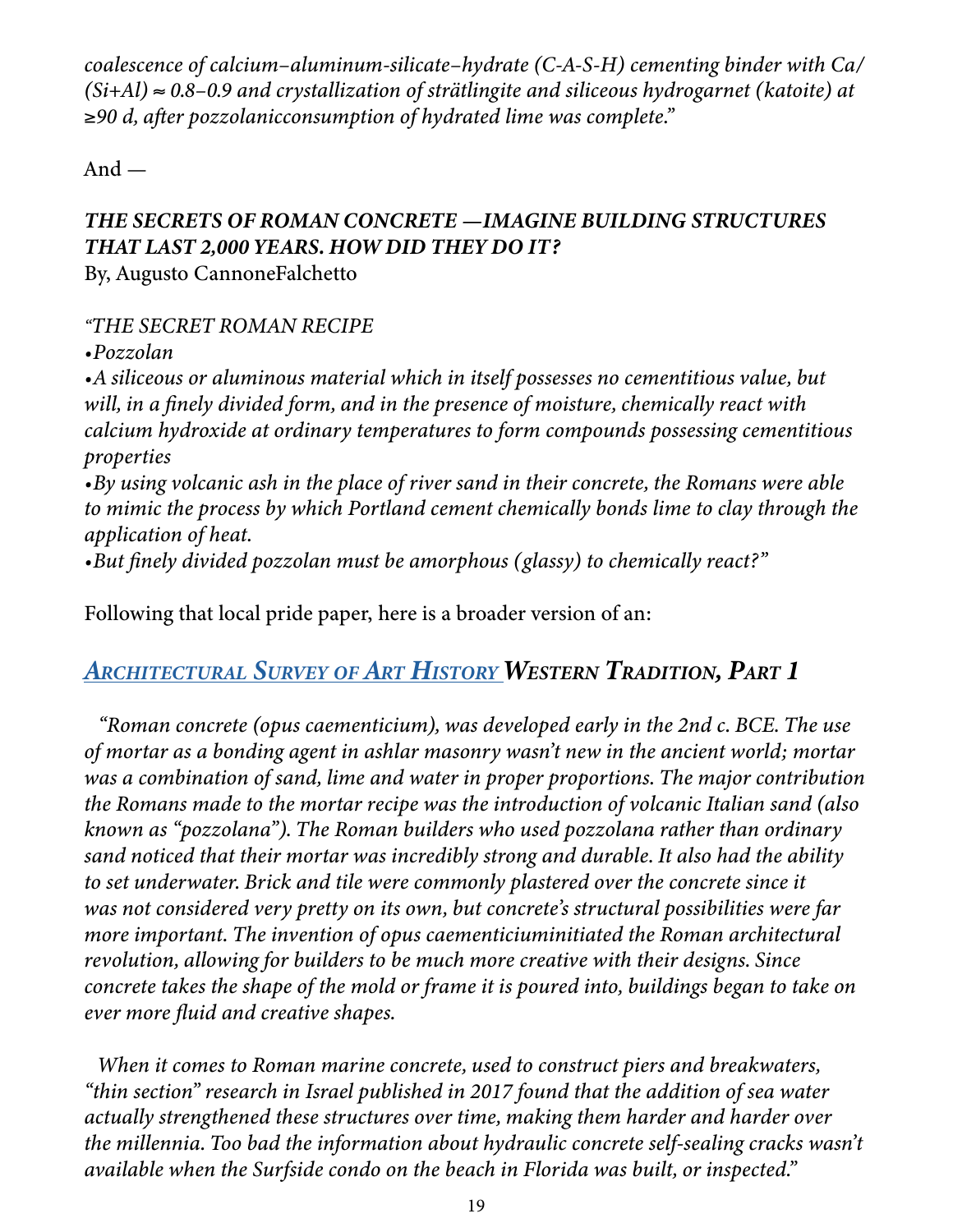*coalescence of calcium–aluminum-silicate–hydrate (C-A-S-H) cementing binder with Ca/ (Si+Al)* ≈ *0.8–0.9 and crystallization of strätlingite and siliceous hydrogarnet (katoite) at*  ≥*90 d, after pozzolanicconsumption of hydrated lime was complete."*

And —

# *THE SECRETS OF ROMAN CONCRETE —IMAGINE BUILDING STRUCTURES THAT LAST 2,000 YEARS. HOW DID THEY DO IT?*

By, Augusto CannoneFalchetto

#### *"THE SECRET ROMAN RECIPE*

*•Pozzolan*

*•A siliceous or aluminous material which in itself possesses no cementitious value, but will, in a finely divided form, and in the presence of moisture, chemically react with calcium hydroxide at ordinary temperatures to form compounds possessing cementitious properties*

*•By using volcanic ash in the place of river sand in their concrete, the Romans were able to mimic the process by which Portland cement chemically bonds lime to clay through the application of heat.*

*•But finely divided pozzolan must be amorphous (glassy) to chemically react?"*

Following that local pride paper, here is a broader version of an:

# *[Architectural Survey](https://eco-gogreen-magazine.com/RomanArchitecture.pdf) of Art History Western Tradition, Part 1*

*"Roman concrete (opus caementicium), was developed early in the 2nd c. BCE. The use of mortar as a bonding agent in ashlar masonry wasn't new in the ancient world; mortar was a combination of sand, lime and water in proper proportions. The major contribution the Romans made to the mortar recipe was the introduction of volcanic Italian sand (also known as "pozzolana"). The Roman builders who used pozzolana rather than ordinary sand noticed that their mortar was incredibly strong and durable. It also had the ability to set underwater. Brick and tile were commonly plastered over the concrete since it was not considered very pretty on its own, but concrete's structural possibilities were far more important. The invention of opus caementiciuminitiated the Roman architectural revolution, allowing for builders to be much more creative with their designs. Since concrete takes the shape of the mold or frame it is poured into, buildings began to take on ever more fluid and creative shapes.*

*When it comes to Roman marine concrete, used to construct piers and breakwaters, "thin section" research in Israel published in 2017 found that the addition of sea water actually strengthened these structures over time, making them harder and harder over the millennia. Too bad the information about hydraulic concrete self-sealing cracks wasn't available when the Surfside condo on the beach in Florida was built, or inspected."*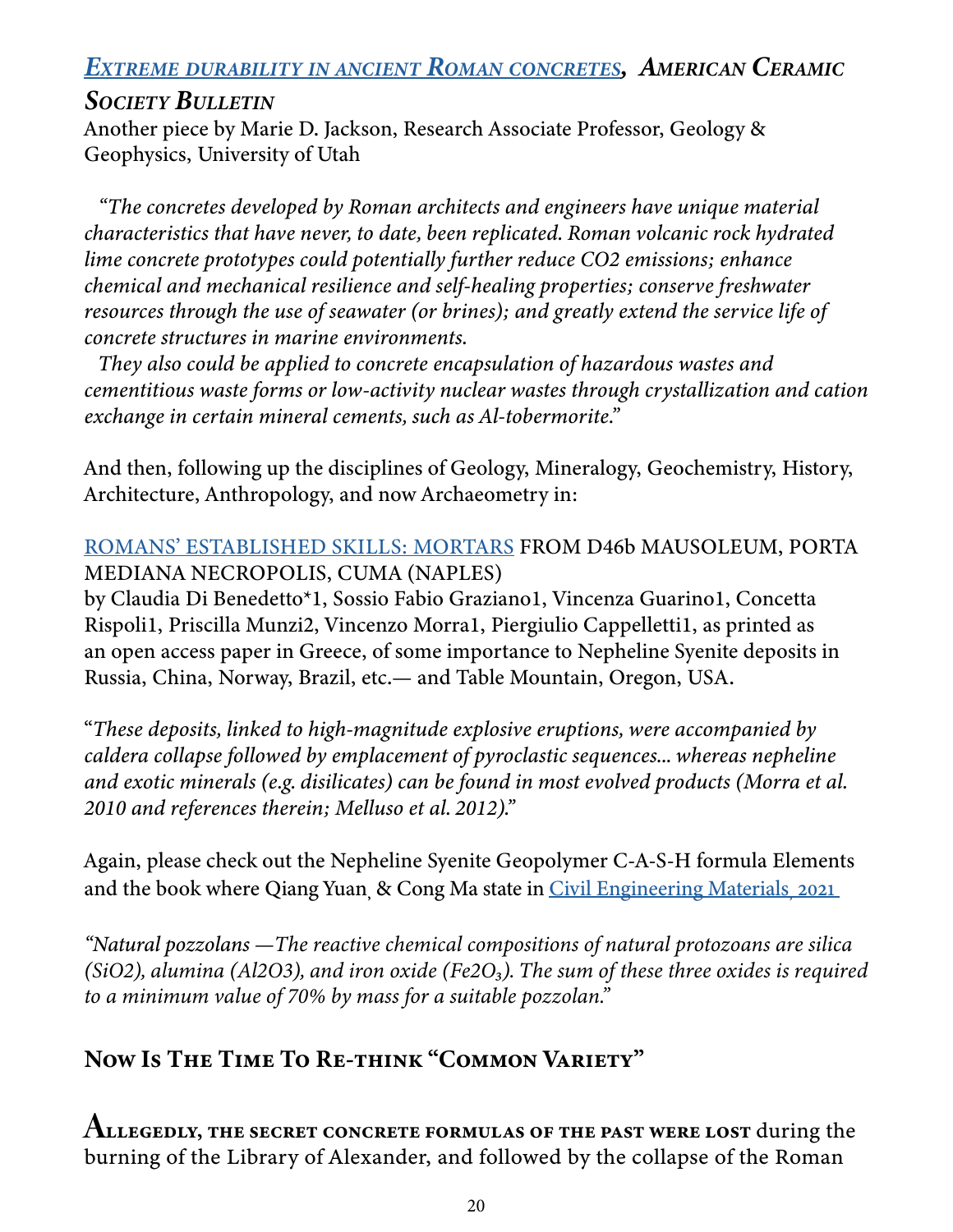# *Extreme durability in ancient Roman [concretes](https://eco-gogreen-magazine.com/V-Extreme_durability_in_ancient_Roman_conc.pdf), American Ceramic*

## *Society Bulletin*

Another piece by Marie D. Jackson, Research Associate Professor, Geology & Geophysics, University of Utah

*"The concretes developed by Roman architects and engineers have unique material characteristics that have never, to date, been replicated. Roman volcanic rock hydrated lime concrete prototypes could potentially further reduce CO2 emissions; enhance chemical and mechanical resilience and self-healing properties; conserve freshwater resources through the use of seawater (or brines); and greatly extend the service life of concrete structures in marine environments.*

*They also could be applied to concrete encapsulation of hazardous wastes and cementitious waste forms or low-activity nuclear wastes through crystallization and cation exchange in certain mineral cements, such as Al-tobermorite."*

And then, following up the disciplines of Geology, Mineralogy, Geochemistry, History, Architecture, Anthropology, and now Archaeometry in:

#### [ROMANS' ESTABLISHED SKILLS: MORTARS](https://eco-gogreen-magazine.com/RomansMortars.pdf) FROM D46b MAUSOLEUM, PORTA MEDIANA NECROPOLIS, CUMA (NAPLES)

by Claudia Di Benedetto\*1, Sossio Fabio Graziano1, Vincenza Guarino1, Concetta Rispoli1, Priscilla Munzi2, Vincenzo Morra1, Piergiulio Cappelletti1, as printed as an open access paper in Greece, of some importance to Nepheline Syenite deposits in Russia, China, Norway, Brazil, etc.— and Table Mountain, Oregon, USA.

"*These deposits, linked to high-magnitude explosive eruptions, were accompanied by caldera collapse followed by emplacement of pyroclastic sequences... whereas nepheline and exotic minerals (e.g. disilicates) can be found in most evolved products (Morra et al. 2010 and references therein; Melluso et al. 2012)."*

Again, please check out the Nepheline Syenite Geopolymer C-A-S-H formula Elements and the book where Qiang Yuan, & Cong Ma state in [Civil Engineering Materials, 2021](https://www.sciencedirect.com/topics/engineering/natural-pozzolans)

*"Natural pozzolans —The reactive chemical compositions of natural protozoans are silica (SiO2), alumina (Al2O3), and iron oxide (Fe2O<sub>3</sub>). The sum of these three oxides is required to a minimum value of 70% by mass for a suitable pozzolan."* 

# Now Is The Time To Re-think "Common Variety"

ALLEGEDLY, THE SECRET CONCRETE FORMULAS OF THE PAST WERE LOST during the burning of the Library of Alexander, and followed by the collapse of the Roman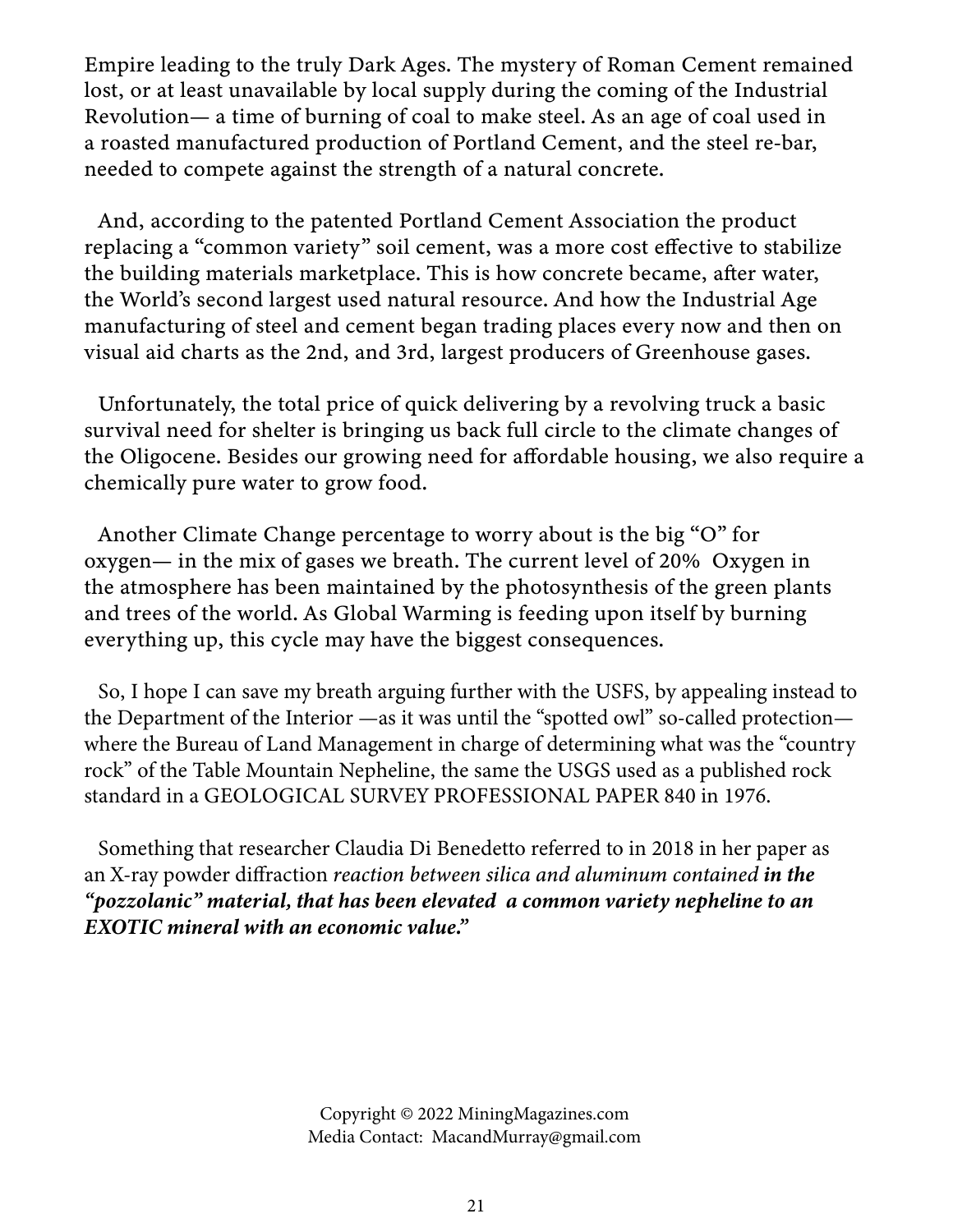Empire leading to the truly Dark Ages. The mystery of Roman Cement remained lost, or at least unavailable by local supply during the coming of the Industrial Revolution— a time of burning of coal to make steel. As an age of coal used in a roasted manufactured production of Portland Cement, and the steel re-bar, needed to compete against the strength of a natural concrete.

And, according to the patented Portland Cement Association the product replacing a "common variety" soil cement, was a more cost effective to stabilize the building materials marketplace. This is how concrete became, after water, the World's second largest used natural resource. And how the Industrial Age manufacturing of steel and cement began trading places every now and then on visual aid charts as the 2nd, and 3rd, largest producers of Greenhouse gases.

Unfortunately, the total price of quick delivering by a revolving truck a basic survival need for shelter is bringing us back full circle to the climate changes of the Oligocene. Besides our growing need for affordable housing, we also require a chemically pure water to grow food.

Another Climate Change percentage to worry about is the big "O" for oxygen— in the mix of gases we breath. The current level of 20% Oxygen in the atmosphere has been maintained by the photosynthesis of the green plants and trees of the world. As Global Warming is feeding upon itself by burning everything up, this cycle may have the biggest consequences.

So, I hope I can save my breath arguing further with the USFS, by appealing instead to the Department of the Interior —as it was until the "spotted owl" so-called protection where the Bureau of Land Management in charge of determining what was the "country rock" of the Table Mountain Nepheline, the same the USGS used as a published rock standard in a GEOLOGICAL SURVEY PROFESSIONAL PAPER 840 in 1976.

Something that researcher Claudia Di Benedetto referred to in 2018 in her paper as an X-ray powder diffraction *reaction between silica and aluminum contained in the "pozzolanic" material, that has been elevated a common variety nepheline to an EXOTIC mineral with an economic value."*

> Copyright © 2022 MiningMagazines.com Media Contact: MacandMurray@gmail.com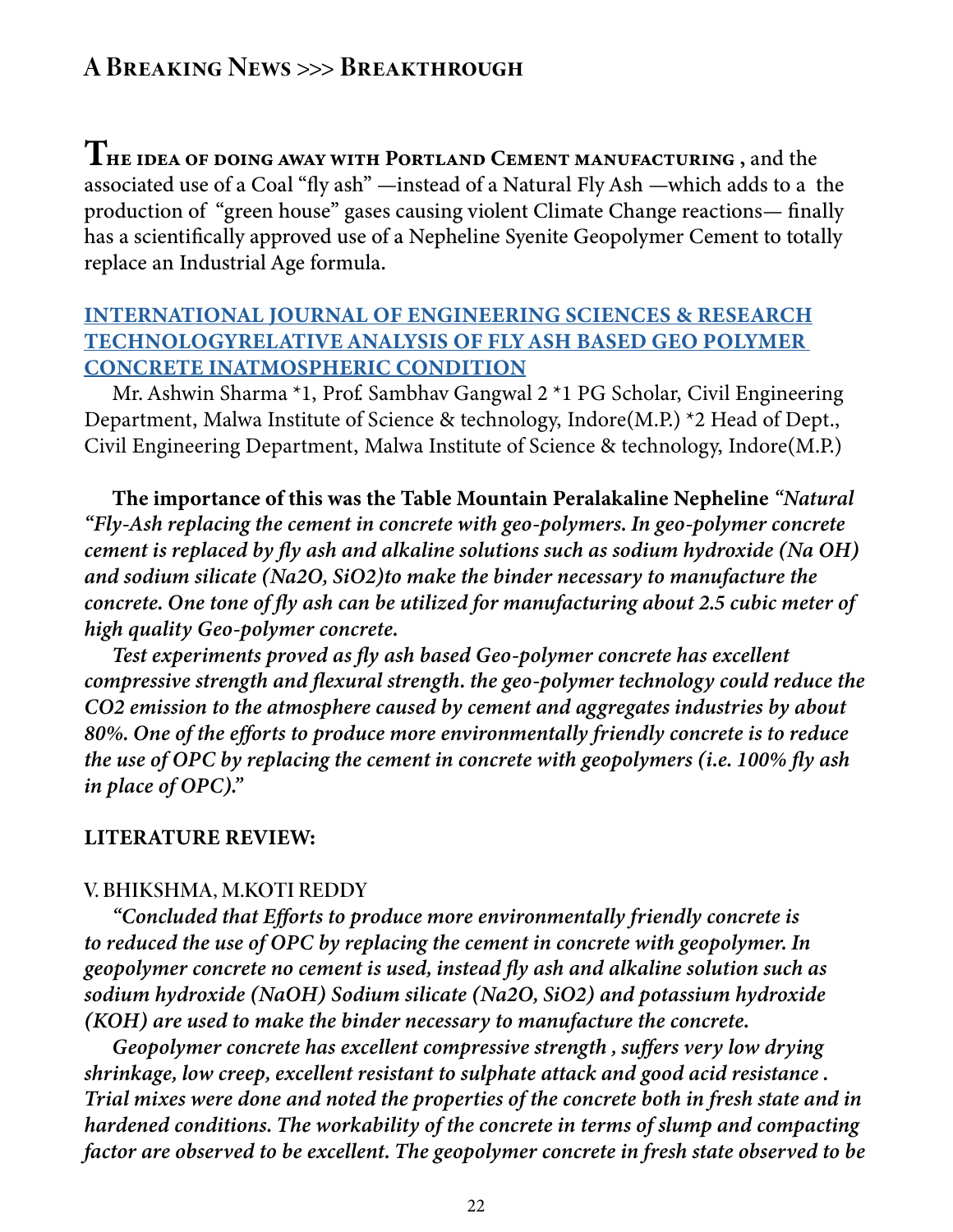## A Breaking News >>> Breakthrough

THE IDEA OF DOING AWAY WITH PORTLAND CEMENT MANUFACTURING, and the associated use of a Coal "fly ash" —instead of a Natural Fly Ash —which adds to a the production of "green house" gases causing violent Climate Change reactions— finally has a scientifically approved use of a Nepheline Syenite Geopolymer Cement to totally replace an Industrial Age formula.

#### [INTERNATIONAL JOURNAL OF ENGINEERING SCIENCES & RESEARCH](https://eco-gogreen-magazine.com/AnalysisOfFlyAshGeopolymers.pdf) [TECHNOLOGYRELATIVE ANALYSIS OF FLY ASH BASED GEO POLYMER](https://eco-gogreen-magazine.com/AnalysisOfFlyAshGeopolymers.pdf)  [CONCRETE INATMOSPHERIC CONDITION](https://eco-gogreen-magazine.com/AnalysisOfFlyAshGeopolymers.pdf)

Mr. Ashwin Sharma \*1, Prof. Sambhav Gangwal 2 \*1 PG Scholar, Civil Engineering Department, Malwa Institute of Science & technology, Indore(M.P.) \*2 Head of Dept., Civil Engineering Department, Malwa Institute of Science & technology, Indore(M.P.)

The importance of this was the Table Mountain Peralakaline Nepheline *"Natural "Fly-Ash replacing the cement in concrete with geo-polymers. In geo-polymer concrete cement is replaced by fly ash and alkaline solutions such as sodium hydroxide (Na OH) and sodium silicate (Na2O, SiO2)to make the binder necessary to manufacture the concrete. One tone of fly ash can be utilized for manufacturing about 2.5 cubic meter of high quality Geo-polymer concrete.* 

*Test experiments proved as fly ash based Geo-polymer concrete has excellent compressive strength and flexural strength. the geo-polymer technology could reduce the CO2 emission to the atmosphere caused by cement and aggregates industries by about 80%. One of the efforts to produce more environmentally friendly concrete is to reduce the use of OPC by replacing the cement in concrete with geopolymers (i.e. 100% fly ash in place of OPC)."*

#### LITERATURE REVIEW:

#### V. BHIKSHMA, M.KOTI REDDY

*"Concluded that Efforts to produce more environmentally friendly concrete is to reduced the use of OPC by replacing the cement in concrete with geopolymer. In geopolymer concrete no cement is used, instead fly ash and alkaline solution such as sodium hydroxide (NaOH) Sodium silicate (Na2O, SiO2) and potassium hydroxide (KOH) are used to make the binder necessary to manufacture the concrete.* 

*Geopolymer concrete has excellent compressive strength , suffers very low drying shrinkage, low creep, excellent resistant to sulphate attack and good acid resistance . Trial mixes were done and noted the properties of the concrete both in fresh state and in hardened conditions. The workability of the concrete in terms of slump and compacting factor are observed to be excellent. The geopolymer concrete in fresh state observed to be*